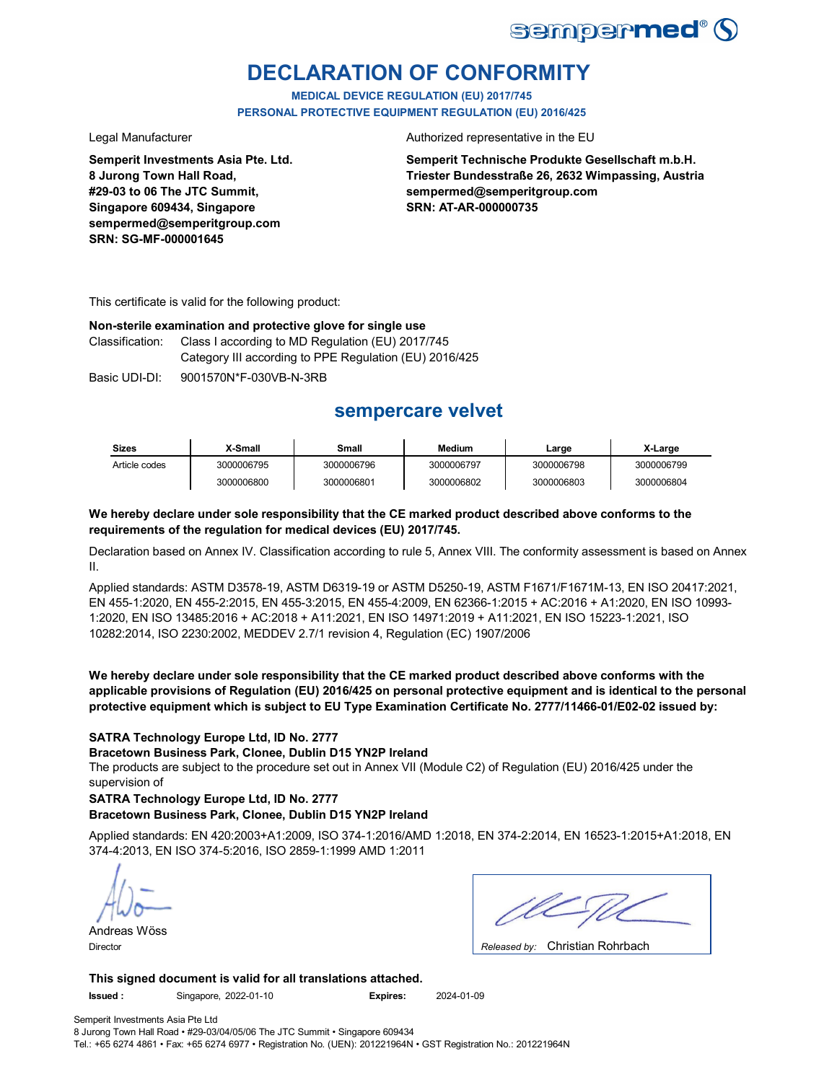

# **DECLARATION OF CONFORMITY**

**MEDICAL DEVICE REGULATION (EU) 2017/745 PERSONAL PROTECTIVE EQUIPMENT REGULATION (EU) 2016/425**

**Semperit Investments Asia Pte. Ltd. 8 Jurong Town Hall Road, #29-03 to 06 The JTC Summit, Singapore 609434, Singapore sempermed@semperitgroup.com SRN: SG-MF-000001645**

Legal Manufacturer **Authorized representative in the EU** 

**Semperit Technische Produkte Gesellschaft m.b.H. Triester Bundesstraße 26, 2632 Wimpassing, Austria sempermed@semperitgroup.com SRN: AT-AR-000000735**

This certificate is valid for the following product:

#### **Non-sterile examination and protective glove for single use**

Classification: Class I according to MD Regulation (EU) 2017/745 Category III according to PPE Regulation (EU) 2016/425

Basic UDI-DI: 9001570N\*F-030VB-N-3RB

## **sempercare velvet**

| <b>Sizes</b>  | X-Small    | Small      | <b>Medium</b> | Large      | X-Large    |
|---------------|------------|------------|---------------|------------|------------|
| Article codes | 3000006795 | 3000006796 | 3000006797    | 3000006798 | 3000006799 |
|               | 3000006800 | 3000006801 | 3000006802    | 3000006803 | 3000006804 |

#### **We hereby declare under sole responsibility that the CE marked product described above conforms to the requirements of the regulation for medical devices (EU) 2017/745.**

Declaration based on Annex IV. Classification according to rule 5, Annex VIII. The conformity assessment is based on Annex II.

Applied standards: ASTM D3578-19, ASTM D6319-19 or ASTM D5250-19, ASTM F1671/F1671M-13, EN ISO 20417:2021, EN 455-1:2020, EN 455-2:2015, EN 455-3:2015, EN 455-4:2009, EN 62366-1:2015 + AC:2016 + A1:2020, EN ISO 10993- 1:2020, EN ISO 13485:2016 + AC:2018 + A11:2021, EN ISO 14971:2019 + A11:2021, EN ISO 15223-1:2021, ISO 10282:2014, ISO 2230:2002, MEDDEV 2.7/1 revision 4, Regulation (EC) 1907/2006

**We hereby declare under sole responsibility that the CE marked product described above conforms with the applicable provisions of Regulation (EU) 2016/425 on personal protective equipment and is identical to the personal protective equipment which is subject to EU Type Examination Certificate No. 2777/11466-01/E02-02 issued by:**

#### **SATRA Technology Europe Ltd, ID No. 2777**

**Bracetown Business Park, Clonee, Dublin D15 YN2P Ireland**

The products are subject to the procedure set out in Annex VII (Module C2) of Regulation (EU) 2016/425 under the supervision of

#### **SATRA Technology Europe Ltd, ID No. 2777**

#### **Bracetown Business Park, Clonee, Dublin D15 YN2P Ireland**

Applied standards: EN 420:2003+A1:2009, ISO 374-1:2016/AMD 1:2018, EN 374-2:2014, EN 16523-1:2015+A1:2018, EN 374-4:2013, EN ISO 374-5:2016, ISO 2859-1:1999 AMD 1:2011

Andreas Wöss

| ٠<br><b></b><br><br>٠<br>٠ |
|----------------------------|

Christian Rohrbach Director *Released by:* 

#### **This signed document is valid for all translations attached.**

**Issued :** Singapore, 2022-01-10 **Expires:** 2024-01-09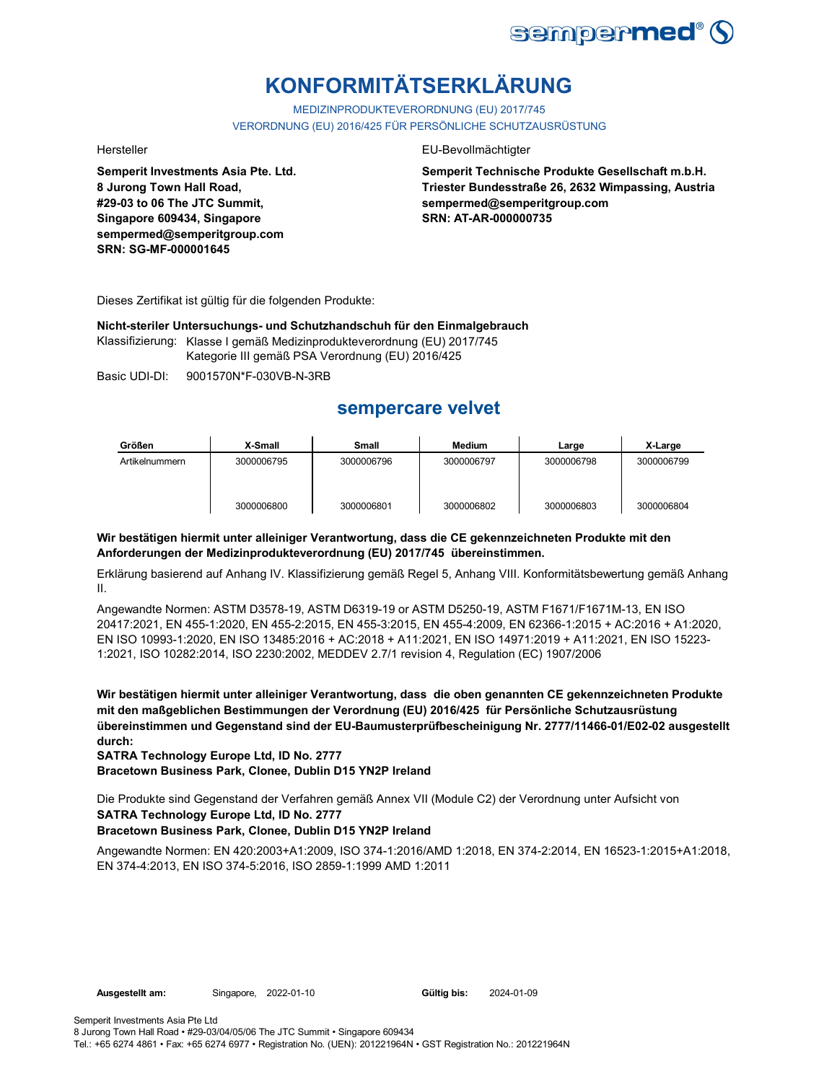

# **KONFORMITÄTSERKLÄRUNG**

MEDIZINPRODUKTEVERORDNUNG (EU) 2017/745 VERORDNUNG (EU) 2016/425 FÜR PERSÖNLICHE SCHUTZAUSRÜSTUNG

**Semperit Investments Asia Pte. Ltd. 8 Jurong Town Hall Road, #29-03 to 06 The JTC Summit, Singapore 609434, Singapore sempermed@semperitgroup.com SRN: SG-MF-000001645**

#### Hersteller EU-Bevollmächtigter

**Semperit Technische Produkte Gesellschaft m.b.H. Triester Bundesstraße 26, 2632 Wimpassing, Austria sempermed@semperitgroup.com SRN: AT-AR-000000735**

Dieses Zertifikat ist gültig für die folgenden Produkte:

**Nicht-steriler Untersuchungs- und Schutzhandschuh für den Einmalgebrauch**

Klassifizierung: Klasse I gemäß Medizinprodukteverordnung (EU) 2017/745 Kategorie III gemäß PSA Verordnung (EU) 2016/425

Basic UDI-DI: 9001570N\*F-030VB-N-3RB

## **sempercare velvet**

| Größen         | X-Small    | Small      | <b>Medium</b> | Large      | X-Large    |
|----------------|------------|------------|---------------|------------|------------|
| Artikelnummern | 3000006795 | 3000006796 | 3000006797    | 3000006798 | 3000006799 |
|                | 3000006800 | 3000006801 | 3000006802    | 3000006803 | 3000006804 |

### **Wir bestätigen hiermit unter alleiniger Verantwortung, dass die CE gekennzeichneten Produkte mit den Anforderungen der Medizinprodukteverordnung (EU) 2017/745 übereinstimmen.**

Erklärung basierend auf Anhang IV. Klassifizierung gemäß Regel 5, Anhang VIII. Konformitätsbewertung gemäß Anhang II.

Angewandte Normen: ASTM D3578-19, ASTM D6319-19 or ASTM D5250-19, ASTM F1671/F1671M-13, EN ISO 20417:2021, EN 455-1:2020, EN 455-2:2015, EN 455-3:2015, EN 455-4:2009, EN 62366-1:2015 + AC:2016 + A1:2020, EN ISO 10993-1:2020, EN ISO 13485:2016 + AC:2018 + A11:2021, EN ISO 14971:2019 + A11:2021, EN ISO 15223- 1:2021, ISO 10282:2014, ISO 2230:2002, MEDDEV 2.7/1 revision 4, Regulation (EC) 1907/2006

**Wir bestätigen hiermit unter alleiniger Verantwortung, dass die oben genannten CE gekennzeichneten Produkte mit den maßgeblichen Bestimmungen der Verordnung (EU) 2016/425 für Persönliche Schutzausrüstung übereinstimmen und Gegenstand sind der EU-Baumusterprüfbescheinigung Nr. 2777/11466-01/E02-02 ausgestellt durch:**

**SATRA Technology Europe Ltd, ID No. 2777**

**Bracetown Business Park, Clonee, Dublin D15 YN2P Ireland**

**SATRA Technology Europe Ltd, ID No. 2777** Die Produkte sind Gegenstand der Verfahren gemäß Annex VII (Module C2) der Verordnung unter Aufsicht von

#### **Bracetown Business Park, Clonee, Dublin D15 YN2P Ireland**

Angewandte Normen: EN 420:2003+A1:2009, ISO 374-1:2016/AMD 1:2018, EN 374-2:2014, EN 16523-1:2015+A1:2018, EN 374-4:2013, EN ISO 374-5:2016, ISO 2859-1:1999 AMD 1:2011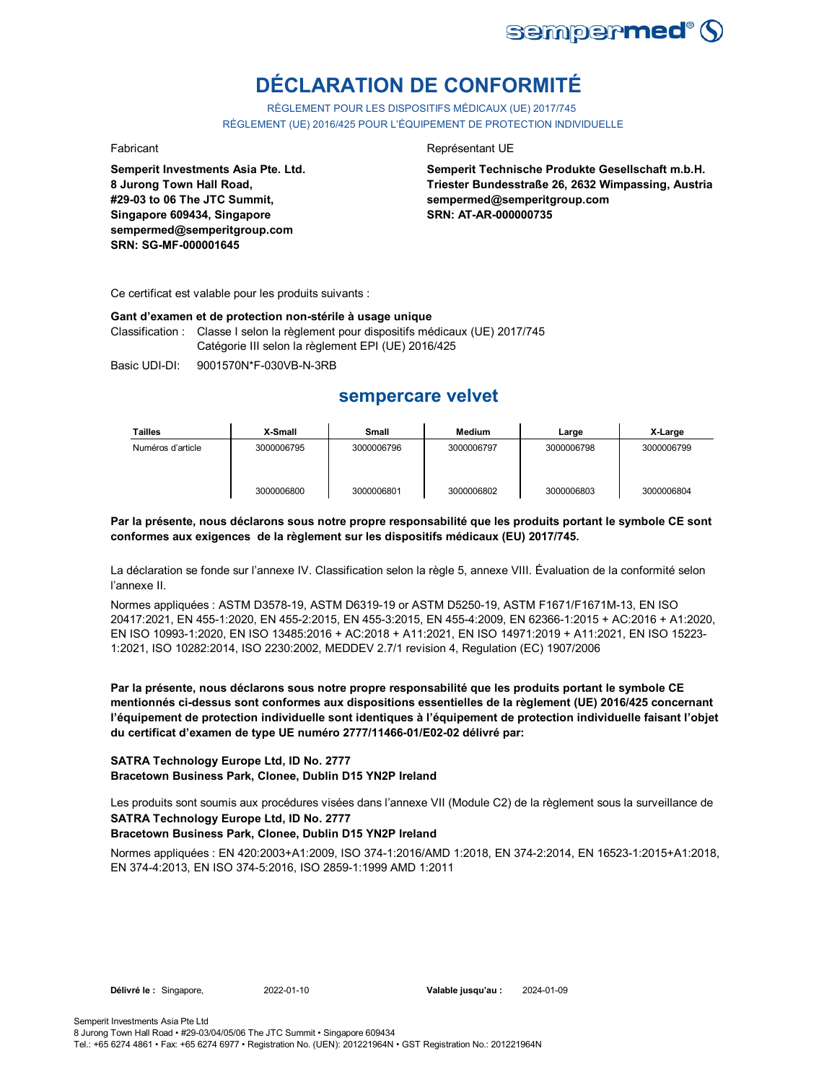

# **DÉCLARATION DE CONFORMITÉ**

RÈGLEMENT POUR LES DISPOSITIFS MÉDICAUX (UE) 2017/745 RÈGLEMENT (UE) 2016/425 POUR L'ÉQUIPEMENT DE PROTECTION INDIVIDUELLE

**Semperit Investments Asia Pte. Ltd. 8 Jurong Town Hall Road, #29-03 to 06 The JTC Summit, Singapore 609434, Singapore sempermed@semperitgroup.com SRN: SG-MF-000001645**

#### Fabricant **Representant UE**

**Semperit Technische Produkte Gesellschaft m.b.H. Triester Bundesstraße 26, 2632 Wimpassing, Austria sempermed@semperitgroup.com SRN: AT-AR-000000735**

Ce certificat est valable pour les produits suivants :

#### **Gant d'examen et de protection non-stérile à usage unique**

Classification : Classe I selon la règlement pour dispositifs médicaux (UE) 2017/745 Catégorie III selon la règlement EPI (UE) 2016/425

Basic UDI-DI: 9001570N\*F-030VB-N-3RB

## **sempercare velvet**

| <b>Tailles</b>    | X-Small    | Small      | Medium     | Large      | X-Large    |
|-------------------|------------|------------|------------|------------|------------|
| Numéros d'article | 3000006795 | 3000006796 | 3000006797 | 3000006798 | 3000006799 |
|                   | 3000006800 | 3000006801 | 3000006802 | 3000006803 | 3000006804 |

#### **Par la présente, nous déclarons sous notre propre responsabilité que les produits portant le symbole CE sont conformes aux exigences de la règlement sur les dispositifs médicaux (EU) 2017/745.**

La déclaration se fonde sur l'annexe IV. Classification selon la règle 5, annexe VIII. Évaluation de la conformité selon l'annexe II.

Normes appliquées : ASTM D3578-19, ASTM D6319-19 or ASTM D5250-19, ASTM F1671/F1671M-13, EN ISO 20417:2021, EN 455-1:2020, EN 455-2:2015, EN 455-3:2015, EN 455-4:2009, EN 62366-1:2015 + AC:2016 + A1:2020, EN ISO 10993-1:2020, EN ISO 13485:2016 + AC:2018 + A11:2021, EN ISO 14971:2019 + A11:2021, EN ISO 15223- 1:2021, ISO 10282:2014, ISO 2230:2002, MEDDEV 2.7/1 revision 4, Regulation (EC) 1907/2006

**Par la présente, nous déclarons sous notre propre responsabilité que les produits portant le symbole CE mentionnés ci-dessus sont conformes aux dispositions essentielles de la règlement (UE) 2016/425 concernant l'équipement de protection individuelle sont identiques à l'équipement de protection individuelle faisant l'objet du certificat d'examen de type UE numéro 2777/11466-01/E02-02 délivré par:**

#### **SATRA Technology Europe Ltd, ID No. 2777 Bracetown Business Park, Clonee, Dublin D15 YN2P Ireland**

**SATRA Technology Europe Ltd, ID No. 2777** Les produits sont soumis aux procédures visées dans l'annexe VII (Module C2) de la règlement sous la surveillance de

### **Bracetown Business Park, Clonee, Dublin D15 YN2P Ireland**

Normes appliquées : EN 420:2003+A1:2009, ISO 374-1:2016/AMD 1:2018, EN 374-2:2014, EN 16523-1:2015+A1:2018, EN 374-4:2013, EN ISO 374-5:2016, ISO 2859-1:1999 AMD 1:2011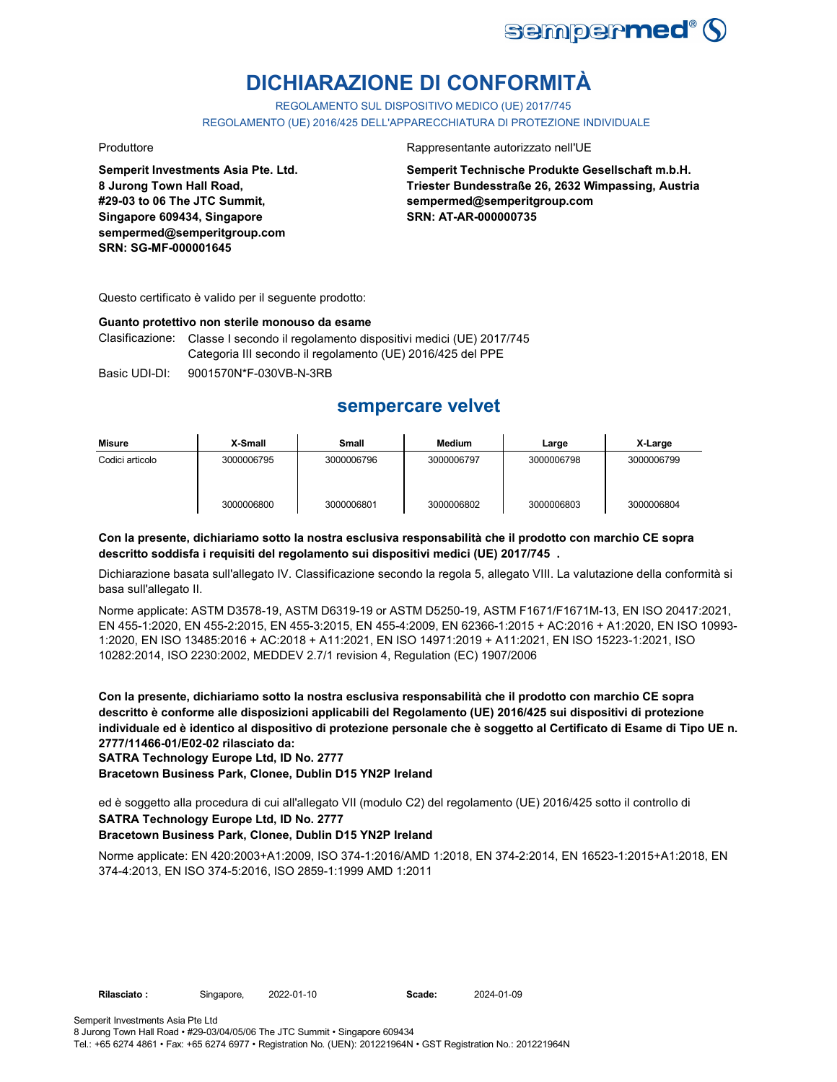

# **DICHIARAZIONE DI CONFORMITÀ**

REGOLAMENTO SUL DISPOSITIVO MEDICO (UE) 2017/745

REGOLAMENTO (UE) 2016/425 DELL'APPARECCHIATURA DI PROTEZIONE INDIVIDUALE

**Semperit Investments Asia Pte. Ltd. 8 Jurong Town Hall Road, #29-03 to 06 The JTC Summit, Singapore 609434, Singapore sempermed@semperitgroup.com SRN: SG-MF-000001645**

#### Produttore Rappresentante autorizzato nell'UE

**Semperit Technische Produkte Gesellschaft m.b.H. Triester Bundesstraße 26, 2632 Wimpassing, Austria sempermed@semperitgroup.com SRN: AT-AR-000000735**

Questo certificato è valido per il seguente prodotto:

#### **Guanto protettivo non sterile monouso da esame**

Clasificazione: Classe I secondo il regolamento dispositivi medici (UE) 2017/745 Categoria III secondo il regolamento (UE) 2016/425 del PPE

Basic UDI-DI: 9001570N\*F-030VB-N-3RB

## **sempercare velvet**

| Misure          | X-Small    | Small      | Medium     | Large      | X-Large    |
|-----------------|------------|------------|------------|------------|------------|
| Codici articolo | 3000006795 | 3000006796 | 3000006797 | 3000006798 | 3000006799 |
|                 | 3000006800 | 3000006801 | 3000006802 | 3000006803 | 3000006804 |

#### **Con la presente, dichiariamo sotto la nostra esclusiva responsabilità che il prodotto con marchio CE sopra descritto soddisfa i requisiti del regolamento sui dispositivi medici (UE) 2017/745 .**

Dichiarazione basata sull'allegato IV. Classificazione secondo la regola 5, allegato VIII. La valutazione della conformità si basa sull'allegato II.

Norme applicate: ASTM D3578-19, ASTM D6319-19 or ASTM D5250-19, ASTM F1671/F1671M-13, EN ISO 20417:2021, EN 455-1:2020, EN 455-2:2015, EN 455-3:2015, EN 455-4:2009, EN 62366-1:2015 + AC:2016 + A1:2020, EN ISO 10993- 1:2020, EN ISO 13485:2016 + AC:2018 + A11:2021, EN ISO 14971:2019 + A11:2021, EN ISO 15223-1:2021, ISO 10282:2014, ISO 2230:2002, MEDDEV 2.7/1 revision 4, Regulation (EC) 1907/2006

**Con la presente, dichiariamo sotto la nostra esclusiva responsabilità che il prodotto con marchio CE sopra descritto è conforme alle disposizioni applicabili del Regolamento (UE) 2016/425 sui dispositivi di protezione individuale ed è identico al dispositivo di protezione personale che è soggetto al Certificato di Esame di Tipo UE n. 2777/11466-01/E02-02 rilasciato da:**

**SATRA Technology Europe Ltd, ID No. 2777**

**Bracetown Business Park, Clonee, Dublin D15 YN2P Ireland**

**SATRA Technology Europe Ltd, ID No. 2777** ed è soggetto alla procedura di cui all'allegato VII (modulo C2) del regolamento (UE) 2016/425 sotto il controllo di

#### **Bracetown Business Park, Clonee, Dublin D15 YN2P Ireland**

Norme applicate: EN 420:2003+A1:2009, ISO 374-1:2016/AMD 1:2018, EN 374-2:2014, EN 16523-1:2015+A1:2018, EN 374-4:2013, EN ISO 374-5:2016, ISO 2859-1:1999 AMD 1:2011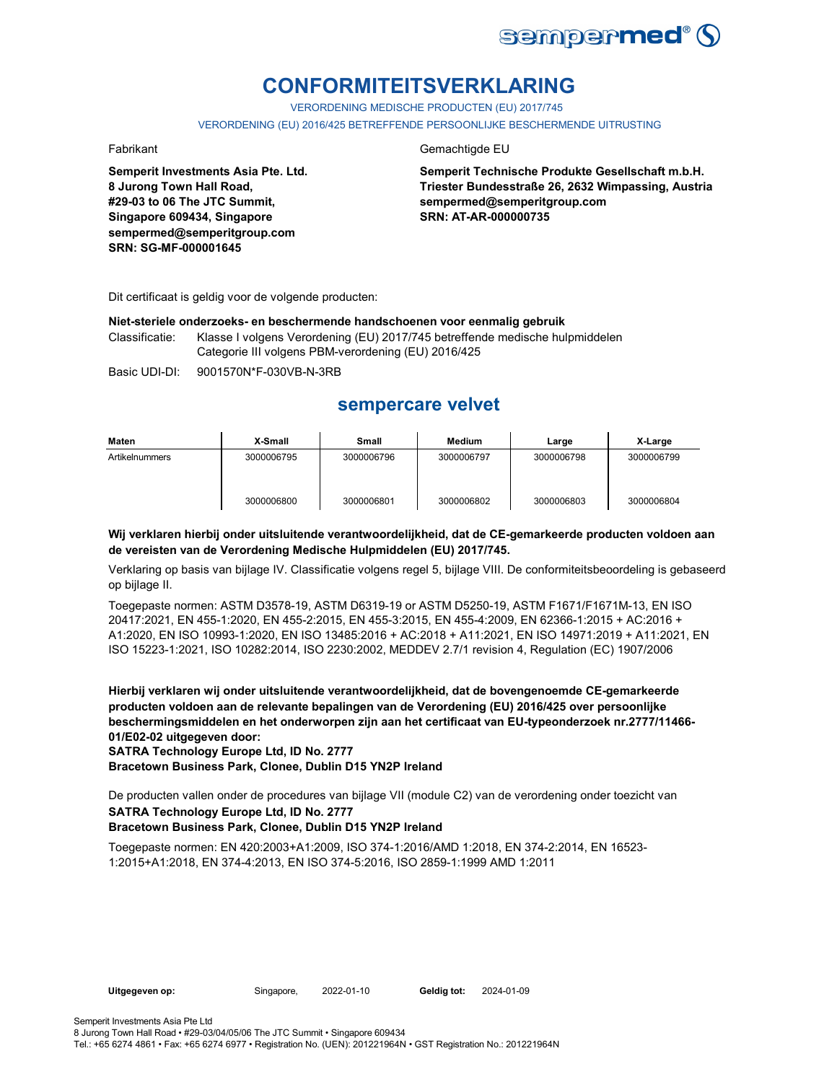

# **CONFORMITEITSVERKLARING**

VERORDENING MEDISCHE PRODUCTEN (EU) 2017/745

VERORDENING (EU) 2016/425 BETREFFENDE PERSOONLIJKE BESCHERMENDE UITRUSTING

**Semperit Investments Asia Pte. Ltd. 8 Jurong Town Hall Road, #29-03 to 06 The JTC Summit, Singapore 609434, Singapore sempermed@semperitgroup.com SRN: SG-MF-000001645**

#### Fabrikant Gemachtigde EU

**Semperit Technische Produkte Gesellschaft m.b.H. Triester Bundesstraße 26, 2632 Wimpassing, Austria sempermed@semperitgroup.com SRN: AT-AR-000000735**

Dit certificaat is geldig voor de volgende producten:

#### **Niet-steriele onderzoeks- en beschermende handschoenen voor eenmalig gebruik**

Classificatie: Klasse I volgens Verordening (EU) 2017/745 betreffende medische hulpmiddelen Categorie III volgens PBM-verordening (EU) 2016/425

Basic UDI-DI: 9001570N\*F-030VB-N-3RB

## **sempercare velvet**

| Maten          | X-Small    | Small      | Medium     | Large      | X-Large    |
|----------------|------------|------------|------------|------------|------------|
| Artikelnummers | 3000006795 | 3000006796 | 3000006797 | 3000006798 | 3000006799 |
|                | 3000006800 | 3000006801 | 3000006802 | 3000006803 | 3000006804 |

#### **Wij verklaren hierbij onder uitsluitende verantwoordelijkheid, dat de CE-gemarkeerde producten voldoen aan de vereisten van de Verordening Medische Hulpmiddelen (EU) 2017/745.**

Verklaring op basis van bijlage IV. Classificatie volgens regel 5, bijlage VIII. De conformiteitsbeoordeling is gebaseerd op bijlage II.

Toegepaste normen: ASTM D3578-19, ASTM D6319-19 or ASTM D5250-19, ASTM F1671/F1671M-13, EN ISO 20417:2021, EN 455-1:2020, EN 455-2:2015, EN 455-3:2015, EN 455-4:2009, EN 62366-1:2015 + AC:2016 + A1:2020, EN ISO 10993-1:2020, EN ISO 13485:2016 + AC:2018 + A11:2021, EN ISO 14971:2019 + A11:2021, EN ISO 15223-1:2021, ISO 10282:2014, ISO 2230:2002, MEDDEV 2.7/1 revision 4, Regulation (EC) 1907/2006

**Hierbij verklaren wij onder uitsluitende verantwoordelijkheid, dat de bovengenoemde CE-gemarkeerde producten voldoen aan de relevante bepalingen van de Verordening (EU) 2016/425 over persoonlijke beschermingsmiddelen en het onderworpen zijn aan het certificaat van EU-typeonderzoek nr.2777/11466- 01/E02-02 uitgegeven door:**

### **SATRA Technology Europe Ltd, ID No. 2777**

**Bracetown Business Park, Clonee, Dublin D15 YN2P Ireland**

**SATRA Technology Europe Ltd, ID No. 2777** De producten vallen onder de procedures van bijlage VII (module C2) van de verordening onder toezicht van

#### **Bracetown Business Park, Clonee, Dublin D15 YN2P Ireland**

Toegepaste normen: EN 420:2003+A1:2009, ISO 374-1:2016/AMD 1:2018, EN 374-2:2014, EN 16523- 1:2015+A1:2018, EN 374-4:2013, EN ISO 374-5:2016, ISO 2859-1:1999 AMD 1:2011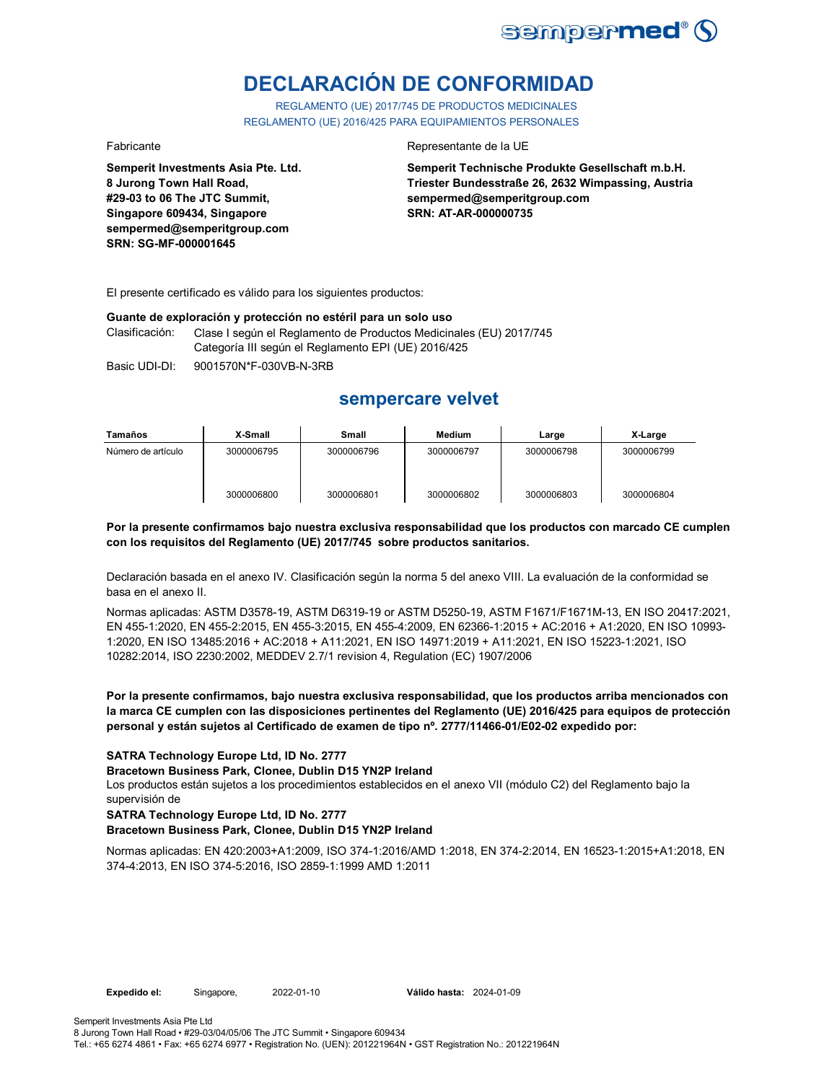

# **DECLARACIÓN DE CONFORMIDAD**

REGLAMENTO (UE) 2017/745 DE PRODUCTOS MEDICINALES REGLAMENTO (UE) 2016/425 PARA EQUIPAMIENTOS PERSONALES

**Semperit Investments Asia Pte. Ltd. 8 Jurong Town Hall Road, #29-03 to 06 The JTC Summit, Singapore 609434, Singapore sempermed@semperitgroup.com SRN: SG-MF-000001645**

#### Fabricante Representante de la UE

**Semperit Technische Produkte Gesellschaft m.b.H. Triester Bundesstraße 26, 2632 Wimpassing, Austria sempermed@semperitgroup.com SRN: AT-AR-000000735**

El presente certificado es válido para los siguientes productos:

#### **Guante de exploración y protección no estéril para un solo uso**

Clasificación: Clase I según el Reglamento de Productos Medicinales (EU) 2017/745 Categoría III según el Reglamento EPI (UE) 2016/425

Basic UDI-DI: 9001570N\*F-030VB-N-3RB

## **sempercare velvet**

| Tamaños            | X-Small    | Small      | Medium     | Large      | X-Large    |
|--------------------|------------|------------|------------|------------|------------|
| Número de artículo | 3000006795 | 3000006796 | 3000006797 | 3000006798 | 3000006799 |
|                    | 3000006800 | 3000006801 | 3000006802 | 3000006803 | 3000006804 |

#### **Por la presente confirmamos bajo nuestra exclusiva responsabilidad que los productos con marcado CE cumplen con los requisitos del Reglamento (UE) 2017/745 sobre productos sanitarios.**

Declaración basada en el anexo IV. Clasificación según la norma 5 del anexo VIII. La evaluación de la conformidad se basa en el anexo II.

Normas aplicadas: ASTM D3578-19, ASTM D6319-19 or ASTM D5250-19, ASTM F1671/F1671M-13, EN ISO 20417:2021, EN 455-1:2020, EN 455-2:2015, EN 455-3:2015, EN 455-4:2009, EN 62366-1:2015 + AC:2016 + A1:2020, EN ISO 10993- 1:2020, EN ISO 13485:2016 + AC:2018 + A11:2021, EN ISO 14971:2019 + A11:2021, EN ISO 15223-1:2021, ISO 10282:2014, ISO 2230:2002, MEDDEV 2.7/1 revision 4, Regulation (EC) 1907/2006

#### **Por la presente confirmamos, bajo nuestra exclusiva responsabilidad, que los productos arriba mencionados con la marca CE cumplen con las disposiciones pertinentes del Reglamento (UE) 2016/425 para equipos de protección personal y están sujetos al Certificado de examen de tipo nº. 2777/11466-01/E02-02 expedido por:**

#### **SATRA Technology Europe Ltd, ID No. 2777**

#### **Bracetown Business Park, Clonee, Dublin D15 YN2P Ireland**

Los productos están sujetos a los procedimientos establecidos en el anexo VII (módulo C2) del Reglamento bajo la supervisión de

#### **SATRA Technology Europe Ltd, ID No. 2777**

#### **Bracetown Business Park, Clonee, Dublin D15 YN2P Ireland**

Normas aplicadas: EN 420:2003+A1:2009, ISO 374-1:2016/AMD 1:2018, EN 374-2:2014, EN 16523-1:2015+A1:2018, EN 374-4:2013, EN ISO 374-5:2016, ISO 2859-1:1999 AMD 1:2011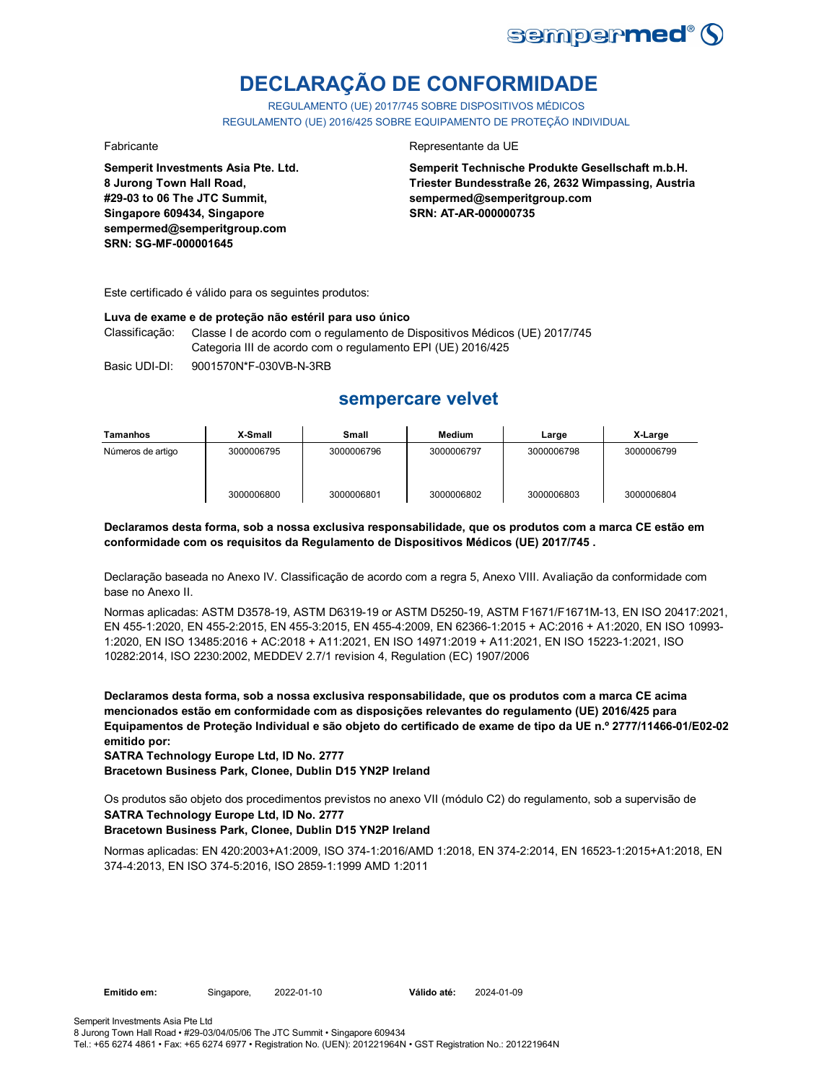

# **DECLARAÇÃO DE CONFORMIDADE**

REGULAMENTO (UE) 2017/745 SOBRE DISPOSITIVOS MÉDICOS REGULAMENTO (UE) 2016/425 SOBRE EQUIPAMENTO DE PROTEÇÃO INDIVIDUAL

**Semperit Investments Asia Pte. Ltd. 8 Jurong Town Hall Road, #29-03 to 06 The JTC Summit, Singapore 609434, Singapore sempermed@semperitgroup.com SRN: SG-MF-000001645**

#### Fabricante Representante da UE

**Semperit Technische Produkte Gesellschaft m.b.H. Triester Bundesstraße 26, 2632 Wimpassing, Austria sempermed@semperitgroup.com SRN: AT-AR-000000735**

Este certificado é válido para os seguintes produtos:

#### **Luva de exame e de proteção não estéril para uso único**

Classificação: Classe I de acordo com o regulamento de Dispositivos Médicos (UE) 2017/745 Categoria III de acordo com o regulamento EPI (UE) 2016/425

Basic UDI-DI: 9001570N\*F-030VB-N-3RB

## **sempercare velvet**

| Tamanhos          | X-Small    | Small      | <b>Medium</b> | Large      | X-Large    |
|-------------------|------------|------------|---------------|------------|------------|
| Números de artigo | 3000006795 | 3000006796 | 3000006797    | 3000006798 | 3000006799 |
|                   | 3000006800 | 3000006801 | 3000006802    | 3000006803 | 3000006804 |

**Declaramos desta forma, sob a nossa exclusiva responsabilidade, que os produtos com a marca CE estão em conformidade com os requisitos da Regulamento de Dispositivos Médicos (UE) 2017/745 .**

Declaração baseada no Anexo IV. Classificação de acordo com a regra 5, Anexo VIII. Avaliação da conformidade com base no Anexo II.

Normas aplicadas: ASTM D3578-19, ASTM D6319-19 or ASTM D5250-19, ASTM F1671/F1671M-13, EN ISO 20417:2021, EN 455-1:2020, EN 455-2:2015, EN 455-3:2015, EN 455-4:2009, EN 62366-1:2015 + AC:2016 + A1:2020, EN ISO 10993- 1:2020, EN ISO 13485:2016 + AC:2018 + A11:2021, EN ISO 14971:2019 + A11:2021, EN ISO 15223-1:2021, ISO 10282:2014, ISO 2230:2002, MEDDEV 2.7/1 revision 4, Regulation (EC) 1907/2006

**Declaramos desta forma, sob a nossa exclusiva responsabilidade, que os produtos com a marca CE acima mencionados estão em conformidade com as disposições relevantes do regulamento (UE) 2016/425 para Equipamentos de Proteção Individual e são objeto do certificado de exame de tipo da UE n.º 2777/11466-01/E02-02 emitido por:**

**SATRA Technology Europe Ltd, ID No. 2777**

**Bracetown Business Park, Clonee, Dublin D15 YN2P Ireland**

**SATRA Technology Europe Ltd, ID No. 2777** Os produtos são objeto dos procedimentos previstos no anexo VII (módulo C2) do regulamento, sob a supervisão de

### **Bracetown Business Park, Clonee, Dublin D15 YN2P Ireland**

Normas aplicadas: EN 420:2003+A1:2009, ISO 374-1:2016/AMD 1:2018, EN 374-2:2014, EN 16523-1:2015+A1:2018, EN 374-4:2013, EN ISO 374-5:2016, ISO 2859-1:1999 AMD 1:2011

**Emitido em:** Singapore, 2022-01-10 **Válido até:** 2024-01-09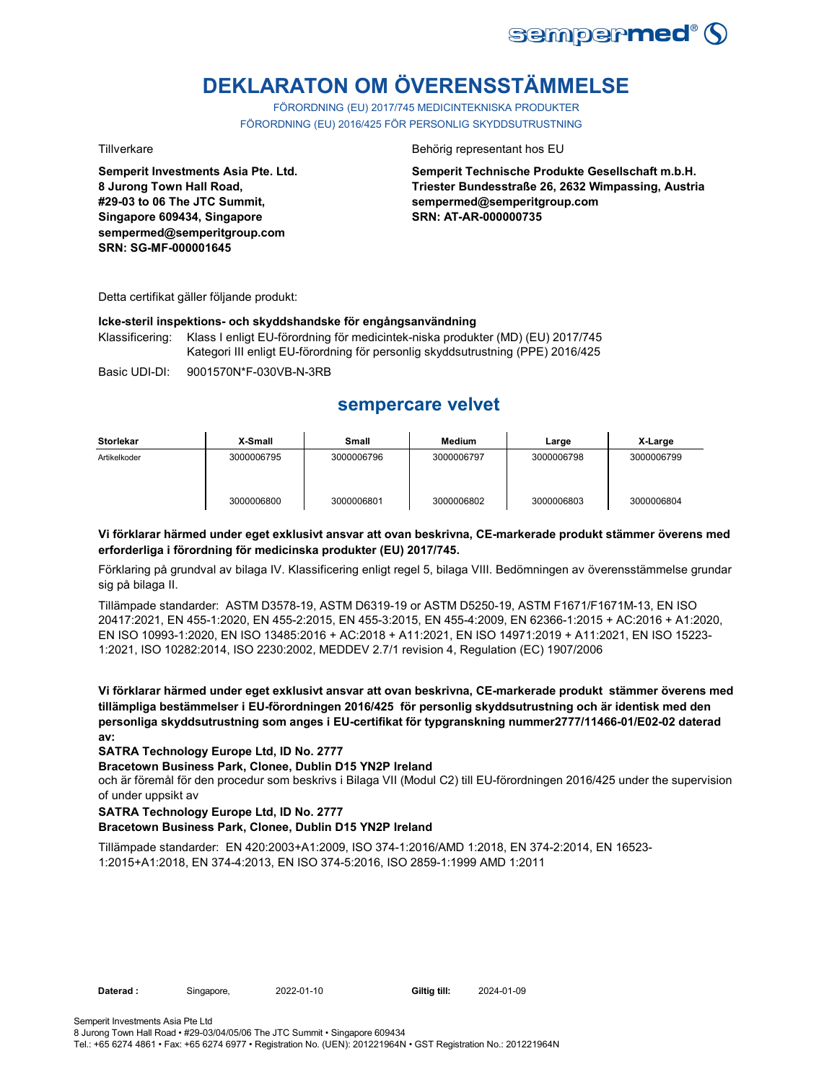

# **DEKLARATON OM ÖVERENSSTÄMMELSE**

FÖRORDNING (EU) 2017/745 MEDICINTEKNISKA PRODUKTER FÖRORDNING (EU) 2016/425 FÖR PERSONLIG SKYDDSUTRUSTNING

**Semperit Investments Asia Pte. Ltd. 8 Jurong Town Hall Road, #29-03 to 06 The JTC Summit, Singapore 609434, Singapore sempermed@semperitgroup.com SRN: SG-MF-000001645**

#### Tillverkare Behörig representant hos EU

**Semperit Technische Produkte Gesellschaft m.b.H. Triester Bundesstraße 26, 2632 Wimpassing, Austria sempermed@semperitgroup.com SRN: AT-AR-000000735**

Detta certifikat gäller följande produkt:

#### **Icke-steril inspektions- och skyddshandske för engångsanvändning**

Klassificering: Klass I enligt EU-förordning för medicintek-niska produkter (MD) (EU) 2017/745 Kategori III enligt EU-förordning för personlig skyddsutrustning (PPE) 2016/425

Basic UDI-DI: 9001570N\*F-030VB-N-3RB

## **sempercare velvet**

| Storlekar    | X-Small    | Small      | <b>Medium</b> | Large      | X-Large    |
|--------------|------------|------------|---------------|------------|------------|
| Artikelkoder | 3000006795 | 3000006796 | 3000006797    | 3000006798 | 3000006799 |
|              | 3000006800 | 3000006801 | 3000006802    | 3000006803 | 3000006804 |

#### **Vi förklarar härmed under eget exklusivt ansvar att ovan beskrivna, CE-markerade produkt stämmer överens med erforderliga i förordning för medicinska produkter (EU) 2017/745.**

Förklaring på grundval av bilaga IV. Klassificering enligt regel 5, bilaga VIII. Bedömningen av överensstämmelse grundar sig på bilaga II.

Tillämpade standarder: ASTM D3578-19, ASTM D6319-19 or ASTM D5250-19, ASTM F1671/F1671M-13, EN ISO 20417:2021, EN 455-1:2020, EN 455-2:2015, EN 455-3:2015, EN 455-4:2009, EN 62366-1:2015 + AC:2016 + A1:2020, EN ISO 10993-1:2020, EN ISO 13485:2016 + AC:2018 + A11:2021, EN ISO 14971:2019 + A11:2021, EN ISO 15223- 1:2021, ISO 10282:2014, ISO 2230:2002, MEDDEV 2.7/1 revision 4, Regulation (EC) 1907/2006

**Vi förklarar härmed under eget exklusivt ansvar att ovan beskrivna, CE-markerade produkt stämmer överens med tillämpliga bestämmelser i EU-förordningen 2016/425 för personlig skyddsutrustning och är identisk med den personliga skyddsutrustning som anges i EU-certifikat för typgranskning nummer2777/11466-01/E02-02 daterad av:**

#### **SATRA Technology Europe Ltd, ID No. 2777**

#### **Bracetown Business Park, Clonee, Dublin D15 YN2P Ireland**

och är föremål för den procedur som beskrivs i Bilaga VII (Modul C2) till EU-förordningen 2016/425 under the supervision of under uppsikt av

#### **SATRA Technology Europe Ltd, ID No. 2777**

#### **Bracetown Business Park, Clonee, Dublin D15 YN2P Ireland**

Tillämpade standarder: EN 420:2003+A1:2009, ISO 374-1:2016/AMD 1:2018, EN 374-2:2014, EN 16523- 1:2015+A1:2018, EN 374-4:2013, EN ISO 374-5:2016, ISO 2859-1:1999 AMD 1:2011

Tel.: +65 6274 4861 • Fax: +65 6274 6977 • Registration No. (UEN): 201221964N • GST Registration No.: 201221964N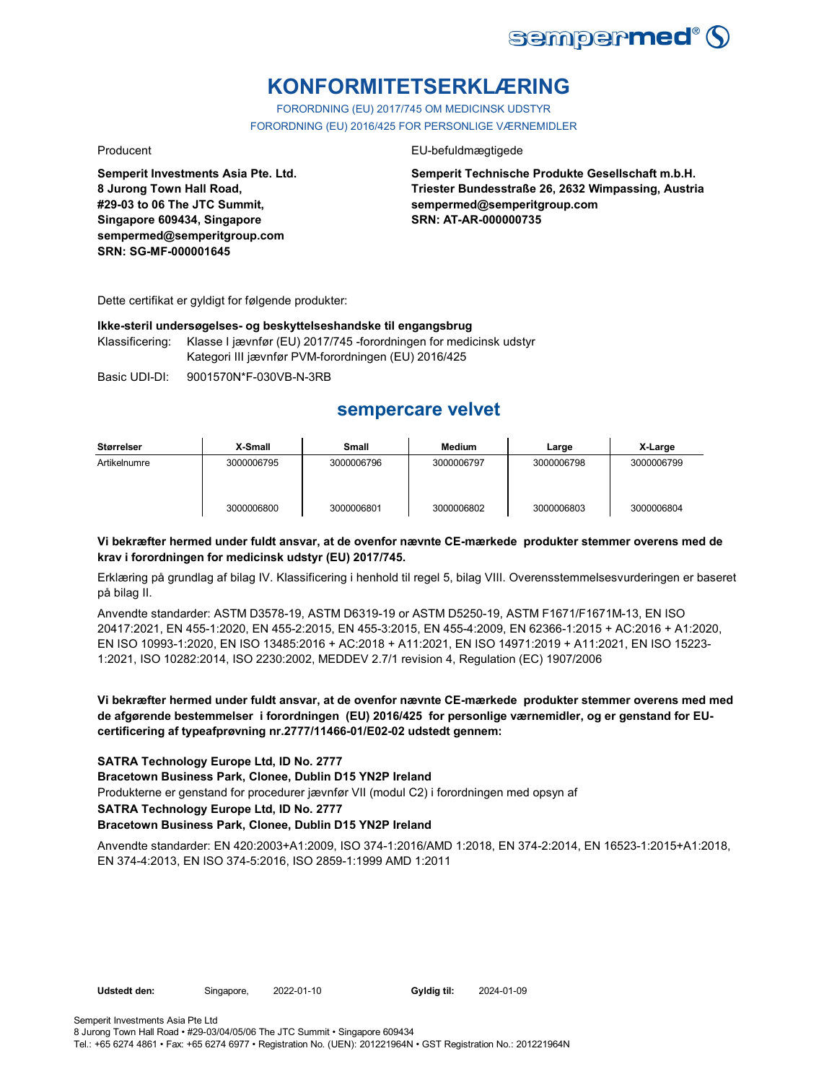

# **KONFORMITETSERKLÆRING**

FORORDNING (EU) 2017/745 OM MEDICINSK UDSTYR FORORDNING (EU) 2016/425 FOR PERSONLIGE VÆRNEMIDLER

**Semperit Investments Asia Pte. Ltd. 8 Jurong Town Hall Road, #29-03 to 06 The JTC Summit, Singapore 609434, Singapore sempermed@semperitgroup.com SRN: SG-MF-000001645**

#### Producent EU-befuldmægtigede

**Semperit Technische Produkte Gesellschaft m.b.H. Triester Bundesstraße 26, 2632 Wimpassing, Austria sempermed@semperitgroup.com SRN: AT-AR-000000735**

Dette certifikat er gyldigt for følgende produkter:

#### **Ikke-steril undersøgelses- og beskyttelseshandske til engangsbrug**

Klassificering: Klasse I jævnfør (EU) 2017/745 -forordningen for medicinsk udstyr Kategori III jævnfør PVM-forordningen (EU) 2016/425

Basic UDI-DI: 9001570N\*F-030VB-N-3RB

## **sempercare velvet**

| Størrelser   | X-Small    | <b>Small</b> | <b>Medium</b> | Large      | X-Large    |
|--------------|------------|--------------|---------------|------------|------------|
| Artikelnumre | 3000006795 | 3000006796   | 3000006797    | 3000006798 | 3000006799 |
|              | 3000006800 | 3000006801   | 3000006802    | 3000006803 | 3000006804 |

#### **Vi bekræfter hermed under fuldt ansvar, at de ovenfor nævnte CE-mærkede produkter stemmer overens med de krav i forordningen for medicinsk udstyr (EU) 2017/745.**

Erklæring på grundlag af bilag IV. Klassificering i henhold til regel 5, bilag VIII. Overensstemmelsesvurderingen er baseret på bilag II.

Anvendte standarder: ASTM D3578-19, ASTM D6319-19 or ASTM D5250-19, ASTM F1671/F1671M-13, EN ISO 20417:2021, EN 455-1:2020, EN 455-2:2015, EN 455-3:2015, EN 455-4:2009, EN 62366-1:2015 + AC:2016 + A1:2020, EN ISO 10993-1:2020, EN ISO 13485:2016 + AC:2018 + A11:2021, EN ISO 14971:2019 + A11:2021, EN ISO 15223- 1:2021, ISO 10282:2014, ISO 2230:2002, MEDDEV 2.7/1 revision 4, Regulation (EC) 1907/2006

### **Vi bekræfter hermed under fuldt ansvar, at de ovenfor nævnte CE-mærkede produkter stemmer overens med med de afgørende bestemmelser i forordningen (EU) 2016/425 for personlige værnemidler, og er genstand for EUcertificering af typeafprøvning nr.2777/11466-01/E02-02 udstedt gennem:**

#### **SATRA Technology Europe Ltd, ID No. 2777**

#### **Bracetown Business Park, Clonee, Dublin D15 YN2P Ireland**

Produkterne er genstand for procedurer jævnfør VII (modul C2) i forordningen med opsyn af

#### **SATRA Technology Europe Ltd, ID No. 2777**

#### **Bracetown Business Park, Clonee, Dublin D15 YN2P Ireland**

Anvendte standarder: EN 420:2003+A1:2009, ISO 374-1:2016/AMD 1:2018, EN 374-2:2014, EN 16523-1:2015+A1:2018, EN 374-4:2013, EN ISO 374-5:2016, ISO 2859-1:1999 AMD 1:2011

**Udstedt den:** Singapore, 2022-01-10 **Gyldig til:** 2024-01-09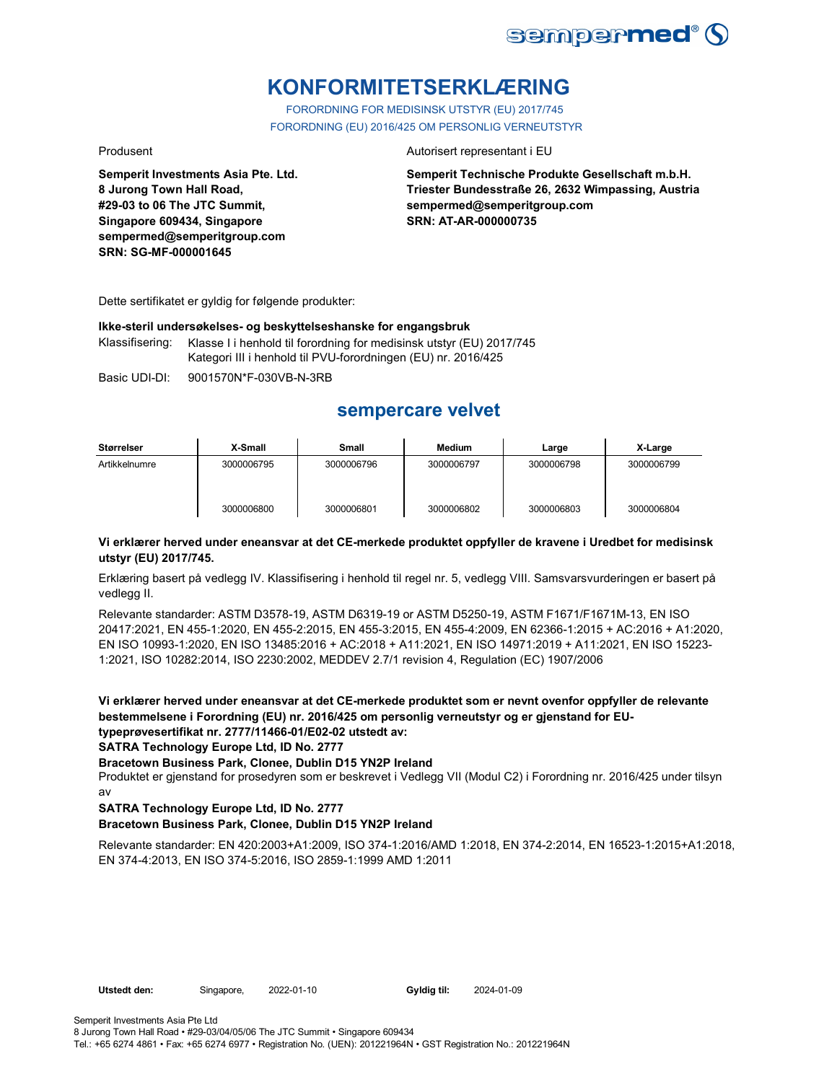

# **KONFORMITETSERKLÆRING**

FORORDNING FOR MEDISINSK UTSTYR (EU) 2017/745 FORORDNING (EU) 2016/425 OM PERSONLIG VERNEUTSTYR

**Semperit Investments Asia Pte. Ltd. 8 Jurong Town Hall Road, #29-03 to 06 The JTC Summit, Singapore 609434, Singapore sempermed@semperitgroup.com SRN: SG-MF-000001645**

#### Produsent **Autorisert representant i EU**

**Semperit Technische Produkte Gesellschaft m.b.H. Triester Bundesstraße 26, 2632 Wimpassing, Austria sempermed@semperitgroup.com SRN: AT-AR-000000735**

Dette sertifikatet er gyldig for følgende produkter:

#### **Ikke-steril undersøkelses- og beskyttelseshanske for engangsbruk**

Klassifisering: Klasse I i henhold til forordning for medisinsk utstyr (EU) 2017/745 Kategori III i henhold til PVU-forordningen (EU) nr. 2016/425

Basic UDI-DI: 9001570N\*F-030VB-N-3RB

## **sempercare velvet**

| Størrelser    | X-Small    | <b>Small</b> | <b>Medium</b> | Large      | X-Large    |
|---------------|------------|--------------|---------------|------------|------------|
| Artikkelnumre | 3000006795 | 3000006796   | 3000006797    | 3000006798 | 3000006799 |
|               | 3000006800 | 3000006801   | 3000006802    | 3000006803 | 3000006804 |

#### **Vi erklærer herved under eneansvar at det CE-merkede produktet oppfyller de kravene i Uredbet for medisinsk utstyr (EU) 2017/745.**

Erklæring basert på vedlegg IV. Klassifisering i henhold til regel nr. 5, vedlegg VIII. Samsvarsvurderingen er basert på vedlegg II.

Relevante standarder: ASTM D3578-19, ASTM D6319-19 or ASTM D5250-19, ASTM F1671/F1671M-13, EN ISO 20417:2021, EN 455-1:2020, EN 455-2:2015, EN 455-3:2015, EN 455-4:2009, EN 62366-1:2015 + AC:2016 + A1:2020, EN ISO 10993-1:2020, EN ISO 13485:2016 + AC:2018 + A11:2021, EN ISO 14971:2019 + A11:2021, EN ISO 15223- 1:2021, ISO 10282:2014, ISO 2230:2002, MEDDEV 2.7/1 revision 4, Regulation (EC) 1907/2006

**Vi erklærer herved under eneansvar at det CE-merkede produktet som er nevnt ovenfor oppfyller de relevante bestemmelsene i Forordning (EU) nr. 2016/425 om personlig verneutstyr og er gjenstand for EUtypeprøvesertifikat nr. 2777/11466-01/E02-02 utstedt av:**

**SATRA Technology Europe Ltd, ID No. 2777**

**Bracetown Business Park, Clonee, Dublin D15 YN2P Ireland**

Produktet er gjenstand for prosedyren som er beskrevet i Vedlegg VII (Modul C2) i Forordning nr. 2016/425 under tilsyn av

### **SATRA Technology Europe Ltd, ID No. 2777**

#### **Bracetown Business Park, Clonee, Dublin D15 YN2P Ireland**

Relevante standarder: EN 420:2003+A1:2009, ISO 374-1:2016/AMD 1:2018, EN 374-2:2014, EN 16523-1:2015+A1:2018, EN 374-4:2013, EN ISO 374-5:2016, ISO 2859-1:1999 AMD 1:2011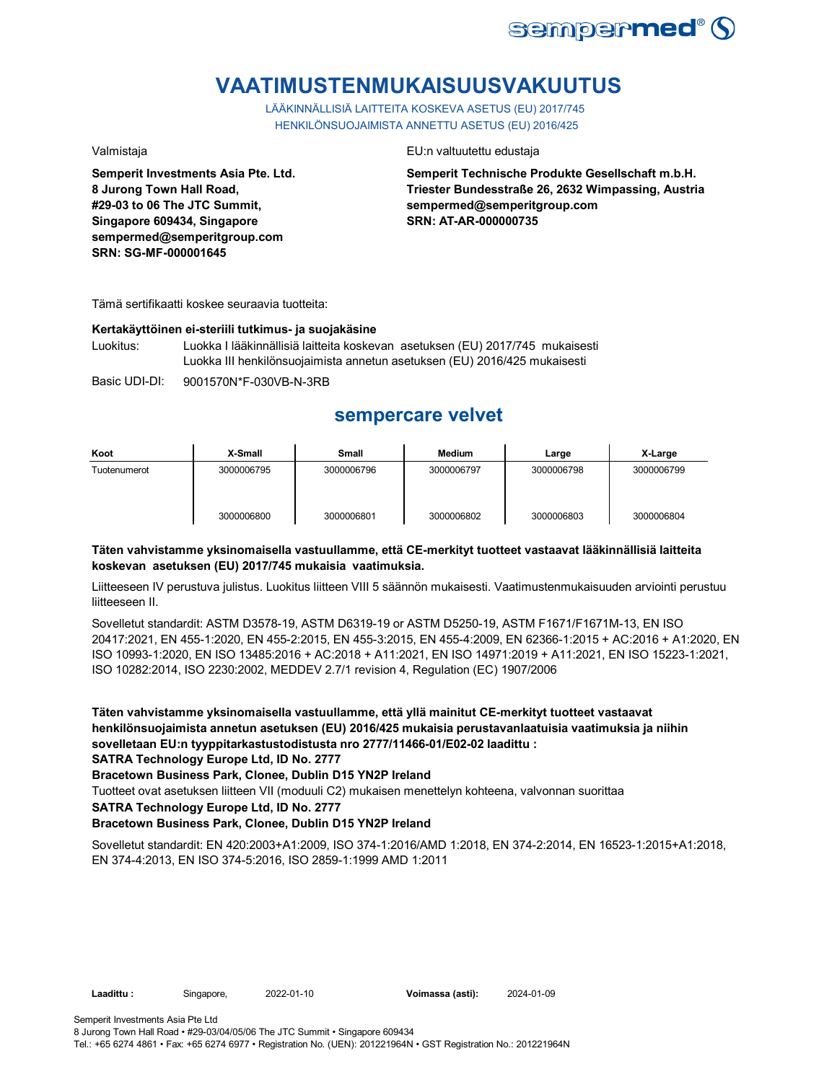

# **VAATIMUSTENMUKAISUUSVAKUUTUS**

LÄÄKINNÄLLISIÄ LAITTEITA KOSKEVA ASETUS (EU) 2017/745 HENKILÖNSUOJAIMISTA ANNETTU ASETUS (EU) 2016/425

**Semperit Investments Asia Pte. Ltd. 8 Jurong Town Hall Road, #29-03 to 06 The JTC Summit, Singapore 609434, Singapore sempermed@semperitgroup.com SRN: SG-MF-000001645**

#### Valmistaja EU:n valtuutettu edustaja

**Semperit Technische Produkte Gesellschaft m.b.H. Triester Bundesstraße 26, 2632 Wimpassing, Austria sempermed@semperitgroup.com SRN: AT-AR-000000735**

Tämä sertifikaatti koskee seuraavia tuotteita:

#### **Kertakäyttöinen ei-steriili tutkimus- ja suojakäsine**

Luokitus: Luokka I lääkinnällisiä laitteita koskevan asetuksen (EU) 2017/745 mukaisesti Luokka III henkilönsuojaimista annetun asetuksen (EU) 2016/425 mukaisesti

Basic UDI-DI: 9001570N\*F-030VB-N-3RB

## **sempercare velvet**

| Koot         | X-Small    | Small      | <b>Medium</b> | Large      | X-Large    |
|--------------|------------|------------|---------------|------------|------------|
| Tuotenumerot | 3000006795 | 3000006796 | 3000006797    | 3000006798 | 3000006799 |
|              | 3000006800 | 3000006801 | 3000006802    | 3000006803 | 3000006804 |

### **Täten vahvistamme yksinomaisella vastuullamme, että CE-merkityt tuotteet vastaavat lääkinnällisiä laitteita koskevan asetuksen (EU) 2017/745 mukaisia vaatimuksia.**

Liitteeseen IV perustuva julistus. Luokitus liitteen VIII 5 säännön mukaisesti. Vaatimustenmukaisuuden arviointi perustuu liitteeseen II.

Sovelletut standardit: ASTM D3578-19, ASTM D6319-19 or ASTM D5250-19, ASTM F1671/F1671M-13, EN ISO 20417:2021, EN 455-1:2020, EN 455-2:2015, EN 455-3:2015, EN 455-4:2009, EN 62366-1:2015 + AC:2016 + A1:2020, EN ISO 10993-1:2020, EN ISO 13485:2016 + AC:2018 + A11:2021, EN ISO 14971:2019 + A11:2021, EN ISO 15223-1:2021, ISO 10282:2014, ISO 2230:2002, MEDDEV 2.7/1 revision 4, Regulation (EC) 1907/2006

**Täten vahvistamme yksinomaisella vastuullamme, että yllä mainitut CE-merkityt tuotteet vastaavat henkilönsuojaimista annetun asetuksen (EU) 2016/425 mukaisia perustavanlaatuisia vaatimuksia ja niihin sovelletaan EU:n tyyppitarkastustodistusta nro 2777/11466-01/E02-02 laadittu :**

**SATRA Technology Europe Ltd, ID No. 2777**

**Bracetown Business Park, Clonee, Dublin D15 YN2P Ireland**

Tuotteet ovat asetuksen liitteen VII (moduuli C2) mukaisen menettelyn kohteena, valvonnan suorittaa

**SATRA Technology Europe Ltd, ID No. 2777**

### **Bracetown Business Park, Clonee, Dublin D15 YN2P Ireland**

Sovelletut standardit: EN 420:2003+A1:2009, ISO 374-1:2016/AMD 1:2018, EN 374-2:2014, EN 16523-1:2015+A1:2018, EN 374-4:2013, EN ISO 374-5:2016, ISO 2859-1:1999 AMD 1:2011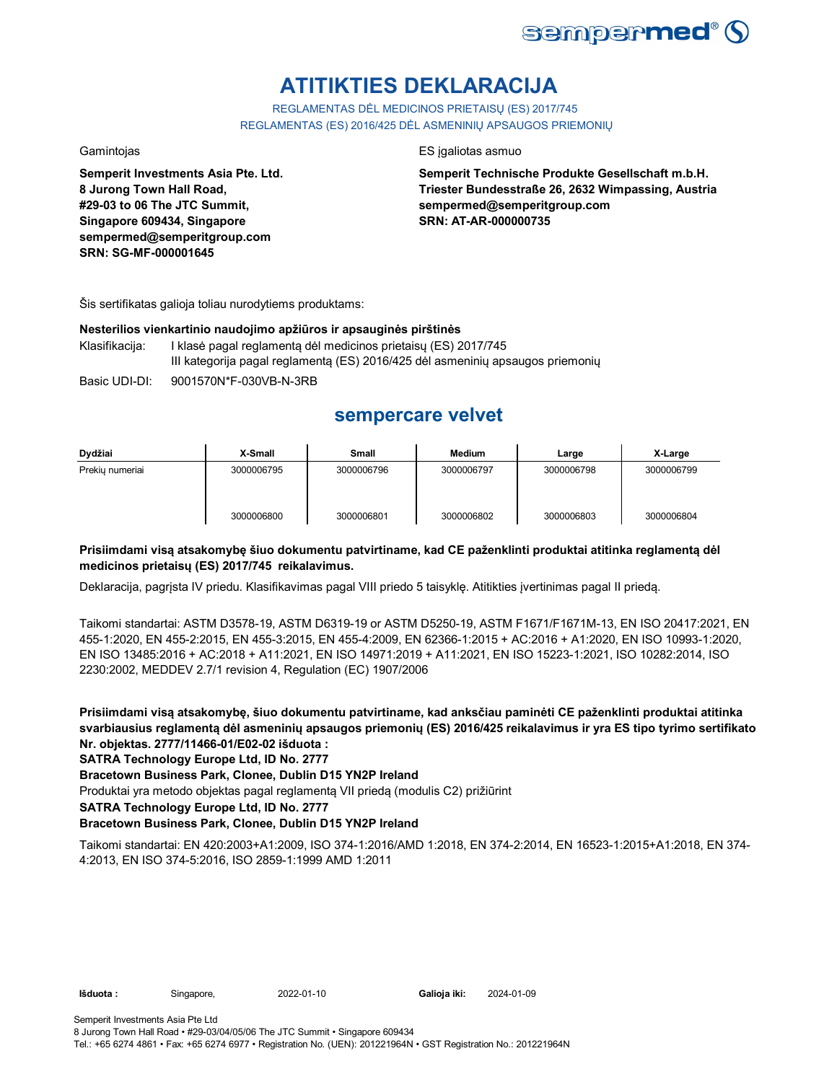

# **ATITIKTIES DEKLARACIJA**

REGLAMENTAS DĖL MEDICINOS PRIETAISŲ (ES) 2017/745 REGLAMENTAS (ES) 2016/425 DĖL ASMENINIŲ APSAUGOS PRIEMONIŲ

**Semperit Investments Asia Pte. Ltd. 8 Jurong Town Hall Road, #29-03 to 06 The JTC Summit, Singapore 609434, Singapore sempermed@semperitgroup.com SRN: SG-MF-000001645**

#### Gamintojas ES įgaliotas asmuo

**Semperit Technische Produkte Gesellschaft m.b.H. Triester Bundesstraße 26, 2632 Wimpassing, Austria sempermed@semperitgroup.com SRN: AT-AR-000000735**

Šis sertifikatas galioja toliau nurodytiems produktams:

#### **Nesterilios vienkartinio naudojimo apžiūros ir apsauginės pirštinės**

- Klasifikacija: I klasė pagal reglamentą dėl medicinos prietaisų (ES) 2017/745 III kategorija pagal reglamentą (ES) 2016/425 dėl asmeninių apsaugos priemonių
- Basic UDI-DI: 9001570N\*F-030VB-N-3RB

## **sempercare velvet**

| Dydžiai         | X-Small    | <b>Small</b> | <b>Medium</b> | Large      | X-Large    |
|-----------------|------------|--------------|---------------|------------|------------|
| Prekiu numeriai | 3000006795 | 3000006796   | 3000006797    | 3000006798 | 3000006799 |
|                 | 3000006800 | 3000006801   | 3000006802    | 3000006803 | 3000006804 |

### **Prisiimdami visą atsakomybę šiuo dokumentu patvirtiname, kad CE paženklinti produktai atitinka reglamentą dėl medicinos prietaisų (ES) 2017/745 reikalavimus.**

Deklaracija, pagrįsta IV priedu. Klasifikavimas pagal VIII priedo 5 taisyklę. Atitikties įvertinimas pagal II priedą.

Taikomi standartai: ASTM D3578-19, ASTM D6319-19 or ASTM D5250-19, ASTM F1671/F1671M-13, EN ISO 20417:2021, EN 455-1:2020, EN 455-2:2015, EN 455-3:2015, EN 455-4:2009, EN 62366-1:2015 + AC:2016 + A1:2020, EN ISO 10993-1:2020, EN ISO 13485:2016 + AC:2018 + A11:2021, EN ISO 14971:2019 + A11:2021, EN ISO 15223-1:2021, ISO 10282:2014, ISO 2230:2002, MEDDEV 2.7/1 revision 4, Regulation (EC) 1907/2006

**Prisiimdami visą atsakomybę, šiuo dokumentu patvirtiname, kad anksčiau paminėti CE paženklinti produktai atitinka svarbiausius reglamentą dėl asmeninių apsaugos priemonių (ES) 2016/425 reikalavimus ir yra ES tipo tyrimo sertifikato Nr. objektas. 2777/11466-01/E02-02 išduota :**

### **SATRA Technology Europe Ltd, ID No. 2777**

**Bracetown Business Park, Clonee, Dublin D15 YN2P Ireland**

Produktai yra metodo objektas pagal reglamentą VII priedą (modulis C2) prižiūrint

**SATRA Technology Europe Ltd, ID No. 2777**

### **Bracetown Business Park, Clonee, Dublin D15 YN2P Ireland**

Taikomi standartai: EN 420:2003+A1:2009, ISO 374-1:2016/AMD 1:2018, EN 374-2:2014, EN 16523-1:2015+A1:2018, EN 374- 4:2013, EN ISO 374-5:2016, ISO 2859-1:1999 AMD 1:2011

**Išduota :** Singapore, 2022-01-10 **Galioja iki:** 2024-01-09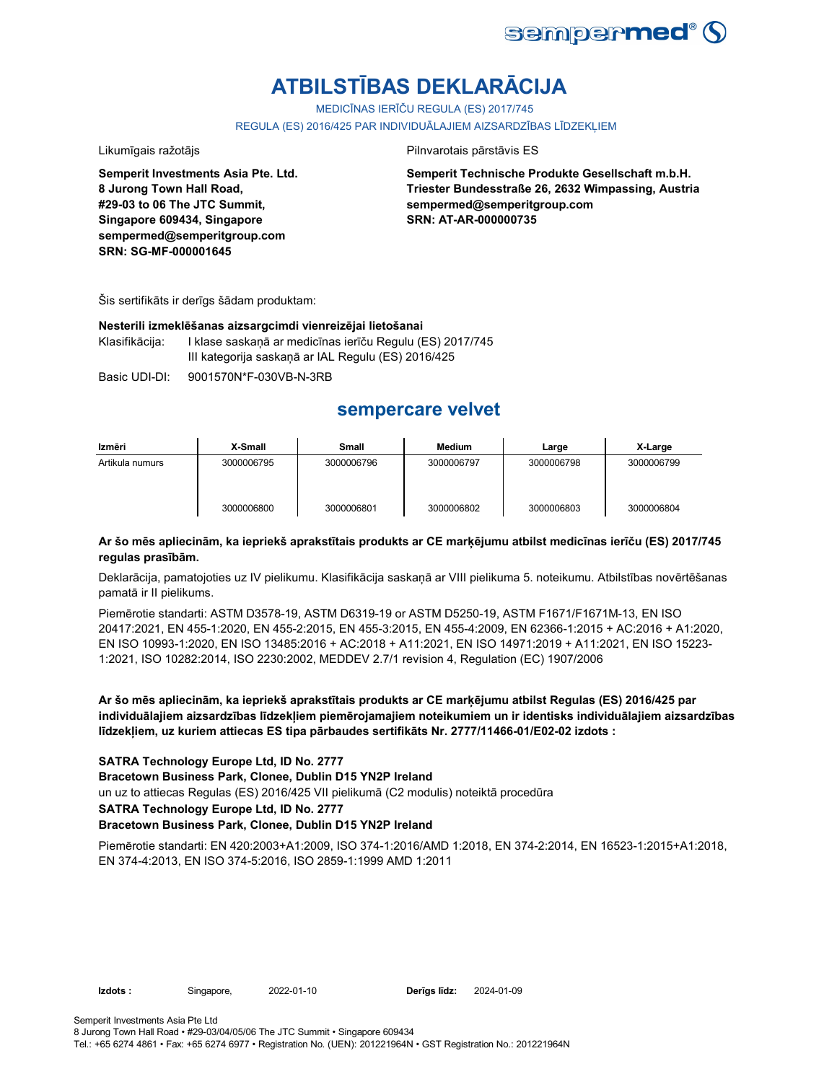

# **ATBILSTĪBAS DEKLARĀCIJA**

MEDICĪNAS IERĪČU REGULA (ES) 2017/745

REGULA (ES) 2016/425 PAR INDIVIDUĀLAJIEM AIZSARDZĪBAS LĪDZEKLIEM

Likumīgais ražotājs **Pilnvarotais pārstāvis ES** 

**Semperit Investments Asia Pte. Ltd. 8 Jurong Town Hall Road, #29-03 to 06 The JTC Summit, Singapore 609434, Singapore sempermed@semperitgroup.com SRN: SG-MF-000001645**

**Semperit Technische Produkte Gesellschaft m.b.H. Triester Bundesstraße 26, 2632 Wimpassing, Austria sempermed@semperitgroup.com SRN: AT-AR-000000735**

Šis sertifikāts ir derīgs šādam produktam:

#### **Nesterili izmeklēšanas aizsargcimdi vienreizējai lietošanai**

Klasifikācija: I klase saskaņā ar medicīnas ierīču Regulu (ES) 2017/745 III kategorija saskaņā ar IAL Regulu (ES) 2016/425

Basic UDI-DI: 9001570N\*F-030VB-N-3RB

## **sempercare velvet**

| Izmēri          | X-Small    | <b>Small</b> | Medium     | Large      | X-Large    |
|-----------------|------------|--------------|------------|------------|------------|
| Artikula numurs | 3000006795 | 3000006796   | 3000006797 | 3000006798 | 3000006799 |
|                 | 3000006800 | 3000006801   | 3000006802 | 3000006803 | 3000006804 |

### **Ar šo mēs apliecinām, ka iepriekš aprakstītais produkts ar CE marķējumu atbilst medicīnas ierīču (ES) 2017/745 regulas prasībām.**

Deklarācija, pamatojoties uz IV pielikumu. Klasifikācija saskaņā ar VIII pielikuma 5. noteikumu. Atbilstības novērtēšanas pamatā ir II pielikums.

Piemērotie standarti: ASTM D3578-19, ASTM D6319-19 or ASTM D5250-19, ASTM F1671/F1671M-13, EN ISO 20417:2021, EN 455-1:2020, EN 455-2:2015, EN 455-3:2015, EN 455-4:2009, EN 62366-1:2015 + AC:2016 + A1:2020, EN ISO 10993-1:2020, EN ISO 13485:2016 + AC:2018 + A11:2021, EN ISO 14971:2019 + A11:2021, EN ISO 15223- 1:2021, ISO 10282:2014, ISO 2230:2002, MEDDEV 2.7/1 revision 4, Regulation (EC) 1907/2006

**Ar šo mēs apliecinām, ka iepriekš aprakstītais produkts ar CE marķējumu atbilst Regulas (ES) 2016/425 par individuālajiem aizsardzības līdzekļiem piemērojamajiem noteikumiem un ir identisks individuālajiem aizsardzības līdzekļiem, uz kuriem attiecas ES tipa pārbaudes sertifikāts Nr. 2777/11466-01/E02-02 izdots :**

#### **SATRA Technology Europe Ltd, ID No. 2777**

**Bracetown Business Park, Clonee, Dublin D15 YN2P Ireland**

un uz to attiecas Regulas (ES) 2016/425 VII pielikumā (C2 modulis) noteiktā procedūra

**SATRA Technology Europe Ltd, ID No. 2777**

#### **Bracetown Business Park, Clonee, Dublin D15 YN2P Ireland**

Piemērotie standarti: EN 420:2003+A1:2009, ISO 374-1:2016/AMD 1:2018, EN 374-2:2014, EN 16523-1:2015+A1:2018, EN 374-4:2013, EN ISO 374-5:2016, ISO 2859-1:1999 AMD 1:2011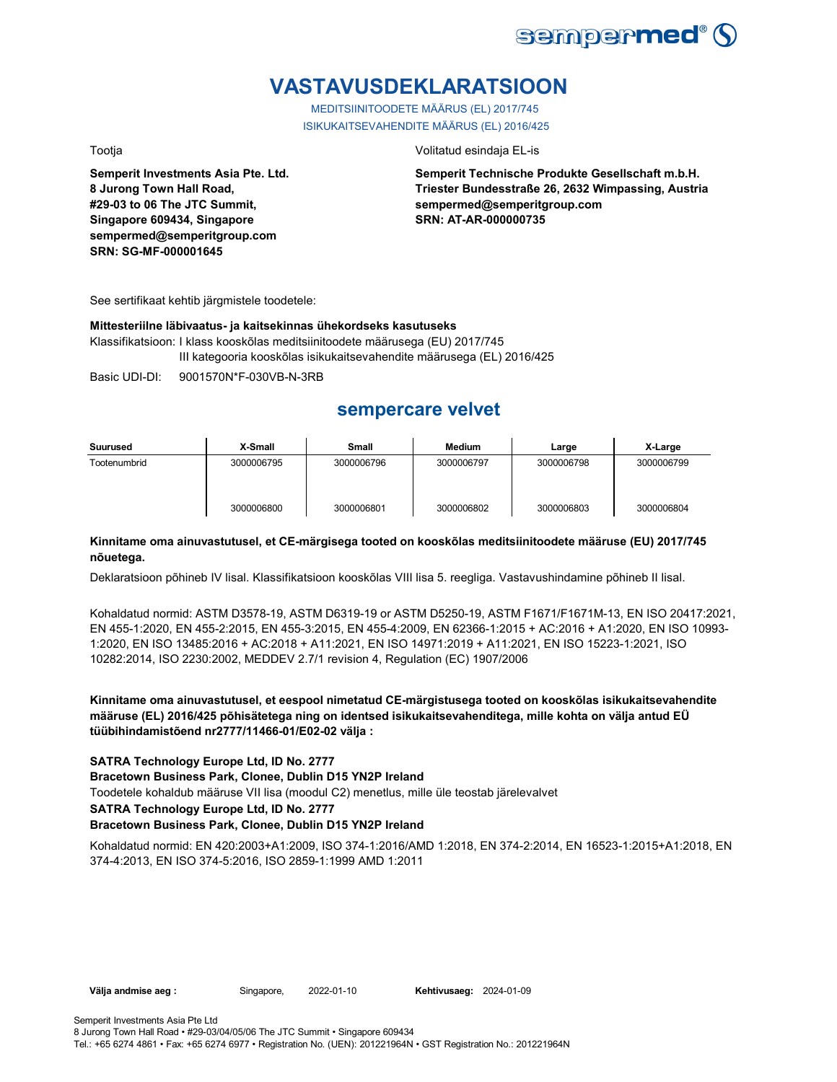

# **VASTAVUSDEKLARATSIOON**

MEDITSIINITOODETE MÄÄRUS (EL) 2017/745 ISIKUKAITSEVAHENDITE MÄÄRUS (EL) 2016/425

**Semperit Investments Asia Pte. Ltd. 8 Jurong Town Hall Road, #29-03 to 06 The JTC Summit, Singapore 609434, Singapore sempermed@semperitgroup.com SRN: SG-MF-000001645**

Tootja Volitatud esindaja EL-is

**Semperit Technische Produkte Gesellschaft m.b.H. Triester Bundesstraße 26, 2632 Wimpassing, Austria sempermed@semperitgroup.com SRN: AT-AR-000000735**

See sertifikaat kehtib järgmistele toodetele:

#### **Mittesteriilne läbivaatus- ja kaitsekinnas ühekordseks kasutuseks**

Klassifikatsioon: I klass kooskõlas meditsiinitoodete määrusega (EU) 2017/745 III kategooria kooskõlas isikukaitsevahendite määrusega (EL) 2016/425

Basic UDI-DI: 9001570N\*F-030VB-N-3RB

## **sempercare velvet**

| Suurused     | X-Small    | Small      | Medium     | Large      | X-Large    |
|--------------|------------|------------|------------|------------|------------|
| Tootenumbrid | 3000006795 | 3000006796 | 3000006797 | 3000006798 | 3000006799 |
|              | 3000006800 | 3000006801 | 3000006802 | 3000006803 | 3000006804 |

### **Kinnitame oma ainuvastutusel, et CE-märgisega tooted on kooskõlas meditsiinitoodete määruse (EU) 2017/745 nõuetega.**

Deklaratsioon põhineb IV lisal. Klassifikatsioon kooskõlas VIII lisa 5. reegliga. Vastavushindamine põhineb II lisal.

Kohaldatud normid: ASTM D3578-19, ASTM D6319-19 or ASTM D5250-19, ASTM F1671/F1671M-13, EN ISO 20417:2021, EN 455-1:2020, EN 455-2:2015, EN 455-3:2015, EN 455-4:2009, EN 62366-1:2015 + AC:2016 + A1:2020, EN ISO 10993- 1:2020, EN ISO 13485:2016 + AC:2018 + A11:2021, EN ISO 14971:2019 + A11:2021, EN ISO 15223-1:2021, ISO 10282:2014, ISO 2230:2002, MEDDEV 2.7/1 revision 4, Regulation (EC) 1907/2006

**Kinnitame oma ainuvastutusel, et eespool nimetatud CE-märgistusega tooted on kooskõlas isikukaitsevahendite määruse (EL) 2016/425 põhisätetega ning on identsed isikukaitsevahenditega, mille kohta on välja antud EÜ tüübihindamistõend nr2777/11466-01/E02-02 välja :**

#### **SATRA Technology Europe Ltd, ID No. 2777**

**Bracetown Business Park, Clonee, Dublin D15 YN2P Ireland**

Toodetele kohaldub määruse VII lisa (moodul C2) menetlus, mille üle teostab järelevalvet

**SATRA Technology Europe Ltd, ID No. 2777**

#### **Bracetown Business Park, Clonee, Dublin D15 YN2P Ireland**

Kohaldatud normid: EN 420:2003+A1:2009, ISO 374-1:2016/AMD 1:2018, EN 374-2:2014, EN 16523-1:2015+A1:2018, EN 374-4:2013, EN ISO 374-5:2016, ISO 2859-1:1999 AMD 1:2011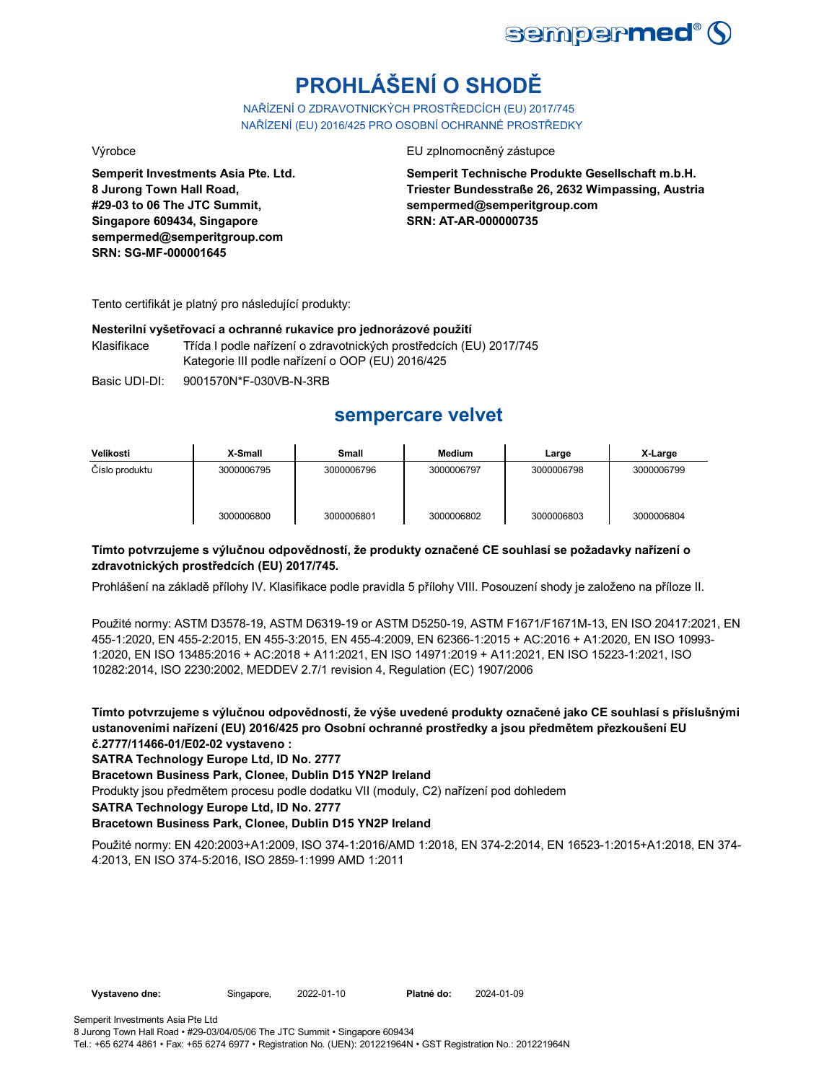

# **PROHLÁŠENÍ O SHODĚ**

NAŘÍZENÍ O ZDRAVOTNICKÝCH PROSTŘEDCÍCH (EU) 2017/745 NAŘÍZENÍ (EU) 2016/425 PRO OSOBNÍ OCHRANNÉ PROSTŘEDKY

**Semperit Investments Asia Pte. Ltd. 8 Jurong Town Hall Road, #29-03 to 06 The JTC Summit, Singapore 609434, Singapore sempermed@semperitgroup.com SRN: SG-MF-000001645**

Výrobce EU zplnomocněný zástupce

**Semperit Technische Produkte Gesellschaft m.b.H. Triester Bundesstraße 26, 2632 Wimpassing, Austria sempermed@semperitgroup.com SRN: AT-AR-000000735**

Tento certifikát je platný pro následující produkty:

#### **Nesterilní vyšetřovací a ochranné rukavice pro jednorázové použití**

Klasifikace Třída I podle nařízení o zdravotnických prostředcích (EU) 2017/745 Kategorie III podle nařízení o OOP (EU) 2016/425

Basic UDI-DI: 9001570N\*F-030VB-N-3RB

## **sempercare velvet**

| Velikosti      | X-Small    | Small      | <b>Medium</b> | Large      | X-Large    |
|----------------|------------|------------|---------------|------------|------------|
| Číslo produktu | 3000006795 | 3000006796 | 3000006797    | 3000006798 | 3000006799 |
|                | 3000006800 | 3000006801 | 3000006802    | 3000006803 | 3000006804 |

### **Tímto potvrzujeme s výlučnou odpovědností, že produkty označené CE souhlasí se požadavky nařízení o zdravotnických prostředcích (EU) 2017/745.**

Prohlášení na základě přílohy IV. Klasifikace podle pravidla 5 přílohy VIII. Posouzení shody je založeno na příloze II.

Použité normy: ASTM D3578-19, ASTM D6319-19 or ASTM D5250-19, ASTM F1671/F1671M-13, EN ISO 20417:2021, EN 455-1:2020, EN 455-2:2015, EN 455-3:2015, EN 455-4:2009, EN 62366-1:2015 + AC:2016 + A1:2020, EN ISO 10993- 1:2020, EN ISO 13485:2016 + AC:2018 + A11:2021, EN ISO 14971:2019 + A11:2021, EN ISO 15223-1:2021, ISO 10282:2014, ISO 2230:2002, MEDDEV 2.7/1 revision 4, Regulation (EC) 1907/2006

**Tímto potvrzujeme s výlučnou odpovědností, že výše uvedené produkty označené jako CE souhlasí s příslušnými ustanoveními nařízení (EU) 2016/425 pro Osobní ochranné prostředky a jsou předmětem přezkoušení EU č.2777/11466-01/E02-02 vystaveno :**

**SATRA Technology Europe Ltd, ID No. 2777**

**Bracetown Business Park, Clonee, Dublin D15 YN2P Ireland**

Produkty jsou předmětem procesu podle dodatku VII (moduly, C2) nařízení pod dohledem

**SATRA Technology Europe Ltd, ID No. 2777**

### **Bracetown Business Park, Clonee, Dublin D15 YN2P Ireland**

Použité normy: EN 420:2003+A1:2009, ISO 374-1:2016/AMD 1:2018, EN 374-2:2014, EN 16523-1:2015+A1:2018, EN 374- 4:2013, EN ISO 374-5:2016, ISO 2859-1:1999 AMD 1:2011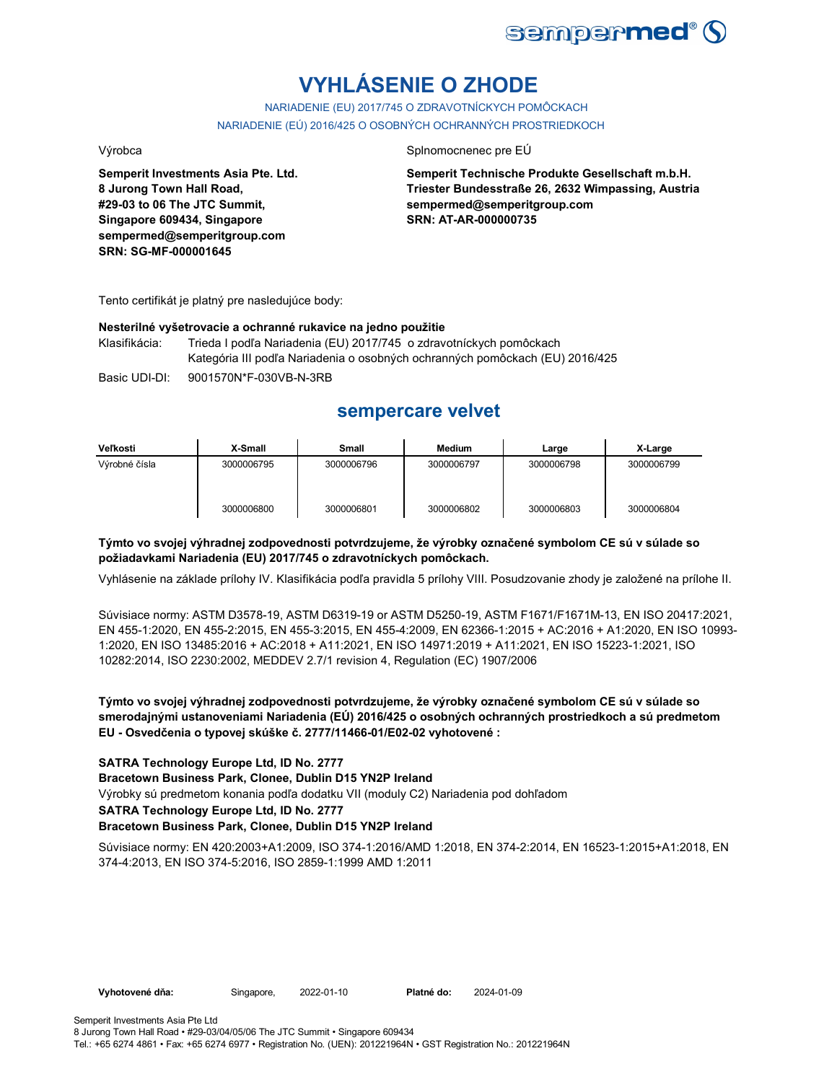

# **VYHLÁSENIE O ZHODE**

NARIADENIE (EU) 2017/745 O ZDRAVOTNÍCKYCH POMÔCKACH NARIADENIE (EÚ) 2016/425 O OSOBNÝCH OCHRANNÝCH PROSTRIEDKOCH

**Semperit Investments Asia Pte. Ltd. 8 Jurong Town Hall Road, #29-03 to 06 The JTC Summit, Singapore 609434, Singapore sempermed@semperitgroup.com SRN: SG-MF-000001645**

#### Výrobca Splnomocnenec pre EÚ

**Semperit Technische Produkte Gesellschaft m.b.H. Triester Bundesstraße 26, 2632 Wimpassing, Austria sempermed@semperitgroup.com SRN: AT-AR-000000735**

Tento certifikát je platný pre nasledujúce body:

#### **Nesterilné vyšetrovacie a ochranné rukavice na jedno použitie**

Klasifikácia: Trieda I podľa Nariadenia (EU) 2017/745 o zdravotníckych pomôckach Kategória III podľa Nariadenia o osobných ochranných pomôckach (EU) 2016/425

Basic UDI-DI: 9001570N\*F-030VB-N-3RB

## **sempercare velvet**

| Veľkosti      | X-Small    | Small      | Medium     | Large      | X-Large    |
|---------------|------------|------------|------------|------------|------------|
| Výrobné čísla | 3000006795 | 3000006796 | 3000006797 | 3000006798 | 3000006799 |
|               | 3000006800 | 3000006801 | 3000006802 | 3000006803 | 3000006804 |

### **Týmto vo svojej výhradnej zodpovednosti potvrdzujeme, že výrobky označené symbolom CE sú v súlade so požiadavkami Nariadenia (EU) 2017/745 o zdravotníckych pomôckach.**

Vyhlásenie na základe prílohy IV. Klasifikácia podľa pravidla 5 prílohy VIII. Posudzovanie zhody je založené na prílohe II.

Súvisiace normy: ASTM D3578-19, ASTM D6319-19 or ASTM D5250-19, ASTM F1671/F1671M-13, EN ISO 20417:2021, EN 455-1:2020, EN 455-2:2015, EN 455-3:2015, EN 455-4:2009, EN 62366-1:2015 + AC:2016 + A1:2020, EN ISO 10993- 1:2020, EN ISO 13485:2016 + AC:2018 + A11:2021, EN ISO 14971:2019 + A11:2021, EN ISO 15223-1:2021, ISO 10282:2014, ISO 2230:2002, MEDDEV 2.7/1 revision 4, Regulation (EC) 1907/2006

**Týmto vo svojej výhradnej zodpovednosti potvrdzujeme, že výrobky označené symbolom CE sú v súlade so smerodajnými ustanoveniami Nariadenia (EÚ) 2016/425 o osobných ochranných prostriedkoch a sú predmetom EU - Osvedčenia o typovej skúške č. 2777/11466-01/E02-02 vyhotovené :**

#### **SATRA Technology Europe Ltd, ID No. 2777**

**Bracetown Business Park, Clonee, Dublin D15 YN2P Ireland**

Výrobky sú predmetom konania podľa dodatku VII (moduly C2) Nariadenia pod dohľadom

#### **SATRA Technology Europe Ltd, ID No. 2777**

#### **Bracetown Business Park, Clonee, Dublin D15 YN2P Ireland**

Súvisiace normy: EN 420:2003+A1:2009, ISO 374-1:2016/AMD 1:2018, EN 374-2:2014, EN 16523-1:2015+A1:2018, EN 374-4:2013, EN ISO 374-5:2016, ISO 2859-1:1999 AMD 1:2011

**Vyhotovené dňa:** Singapore, 2022-01-10 **Platné do:** 2024-01-09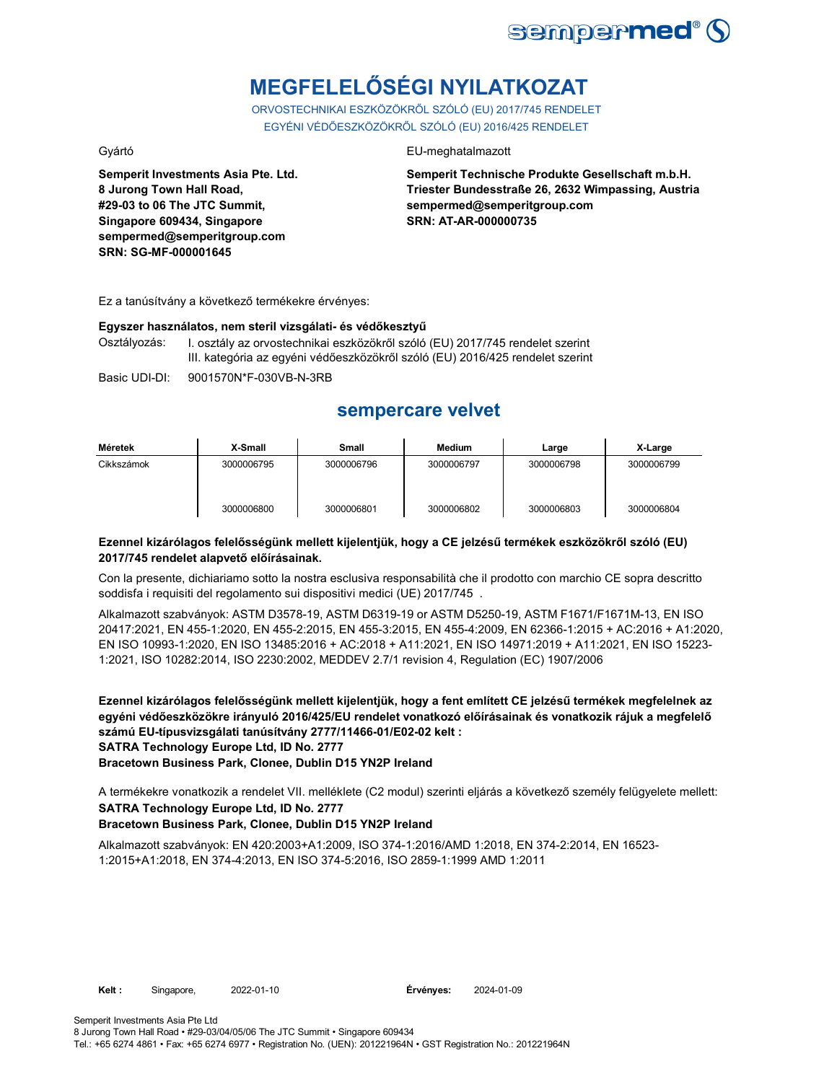

# **MEGFELELŐSÉGI NYILATKOZAT**

ORVOSTECHNIKAI ESZKÖZÖKRŐL SZÓLÓ (EU) 2017/745 RENDELET EGYÉNI VÉDŐESZKÖZÖKRŐL SZÓLÓ (EU) 2016/425 RENDELET

**Semperit Investments Asia Pte. Ltd. 8 Jurong Town Hall Road, #29-03 to 06 The JTC Summit, Singapore 609434, Singapore sempermed@semperitgroup.com SRN: SG-MF-000001645**

### Gyártó EU-meghatalmazott

**Semperit Technische Produkte Gesellschaft m.b.H. Triester Bundesstraße 26, 2632 Wimpassing, Austria sempermed@semperitgroup.com SRN: AT-AR-000000735**

Ez a tanúsítvány a következő termékekre érvényes:

#### **Egyszer használatos, nem steril vizsgálati- és védőkesztyű**

Osztályozás: I. osztály az orvostechnikai eszközökről szóló (EU) 2017/745 rendelet szerint III. kategória az egyéni védőeszközökről szóló (EU) 2016/425 rendelet szerint

Basic UDI-DI: 9001570N\*F-030VB-N-3RB

## **sempercare velvet**

| Méretek    | X-Small    | Small      | <b>Medium</b> | Large      | X-Large    |
|------------|------------|------------|---------------|------------|------------|
| Cikkszámok | 3000006795 | 3000006796 | 3000006797    | 3000006798 | 3000006799 |
|            | 3000006800 | 3000006801 | 3000006802    | 3000006803 | 3000006804 |

### **Ezennel kizárólagos felelősségünk mellett kijelentjük, hogy a CE jelzésű termékek eszközökről szóló (EU) 2017/745 rendelet alapvető előírásainak.**

Con la presente, dichiariamo sotto la nostra esclusiva responsabilità che il prodotto con marchio CE sopra descritto soddisfa i requisiti del regolamento sui dispositivi medici (UE) 2017/745 .

Alkalmazott szabványok: ASTM D3578-19, ASTM D6319-19 or ASTM D5250-19, ASTM F1671/F1671M-13, EN ISO 20417:2021, EN 455-1:2020, EN 455-2:2015, EN 455-3:2015, EN 455-4:2009, EN 62366-1:2015 + AC:2016 + A1:2020, EN ISO 10993-1:2020, EN ISO 13485:2016 + AC:2018 + A11:2021, EN ISO 14971:2019 + A11:2021, EN ISO 15223- 1:2021, ISO 10282:2014, ISO 2230:2002, MEDDEV 2.7/1 revision 4, Regulation (EC) 1907/2006

**Ezennel kizárólagos felelősségünk mellett kijelentjük, hogy a fent említett CE jelzésű termékek megfelelnek az egyéni védőeszközökre irányuló 2016/425/EU rendelet vonatkozó előírásainak és vonatkozik rájuk a megfelelő számú EU-típusvizsgálati tanúsítvány 2777/11466-01/E02-02 kelt : SATRA Technology Europe Ltd, ID No. 2777**

**Bracetown Business Park, Clonee, Dublin D15 YN2P Ireland**

**SATRA Technology Europe Ltd, ID No. 2777** A termékekre vonatkozik a rendelet VII. melléklete (C2 modul) szerinti eljárás a következő személy felügyelete mellett:

### **Bracetown Business Park, Clonee, Dublin D15 YN2P Ireland**

Alkalmazott szabványok: EN 420:2003+A1:2009, ISO 374-1:2016/AMD 1:2018, EN 374-2:2014, EN 16523- 1:2015+A1:2018, EN 374-4:2013, EN ISO 374-5:2016, ISO 2859-1:1999 AMD 1:2011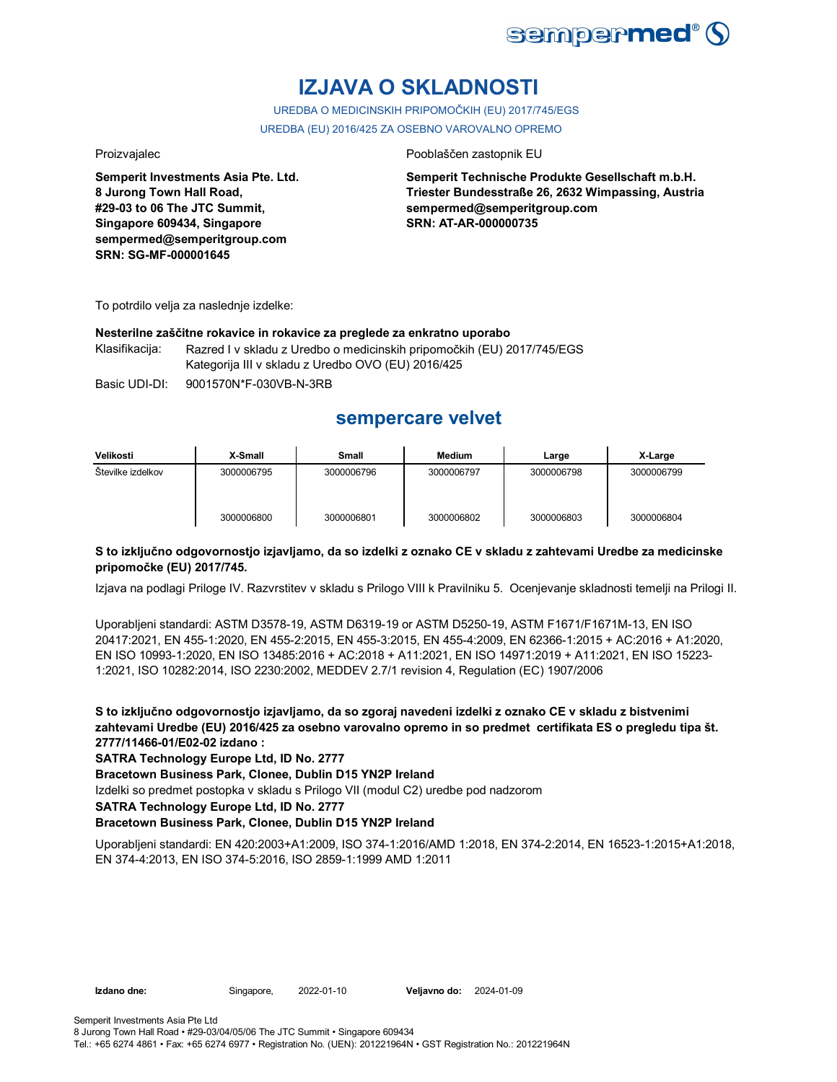

# **IZJAVA O SKLADNOSTI**

UREDBA O MEDICINSKIH PRIPOMOČKIH (EU) 2017/745/EGS UREDBA (EU) 2016/425 ZA OSEBNO VAROVALNO OPREMO

**Semperit Investments Asia Pte. Ltd. 8 Jurong Town Hall Road, #29-03 to 06 The JTC Summit, Singapore 609434, Singapore sempermed@semperitgroup.com SRN: SG-MF-000001645**

#### Proizvajalec Pooblaščen zastopnik EU

**Semperit Technische Produkte Gesellschaft m.b.H. Triester Bundesstraße 26, 2632 Wimpassing, Austria sempermed@semperitgroup.com SRN: AT-AR-000000735**

To potrdilo velja za naslednje izdelke:

#### **Nesterilne zaščitne rokavice in rokavice za preglede za enkratno uporabo**

Klasifikacija: Razred I v skladu z Uredbo o medicinskih pripomočkih (EU) 2017/745/EGS Kategorija III v skladu z Uredbo OVO (EU) 2016/425

Basic UDI-DI: 9001570N\*F-030VB-N-3RB

## **sempercare velvet**

| Velikosti         | X-Small    | Small      | <b>Medium</b> | Large      | X-Large    |
|-------------------|------------|------------|---------------|------------|------------|
| Številke izdelkov | 3000006795 | 3000006796 | 3000006797    | 3000006798 | 3000006799 |
|                   | 3000006800 | 3000006801 | 3000006802    | 3000006803 | 3000006804 |

#### **S to izključno odgovornostjo izjavljamo, da so izdelki z oznako CE v skladu z zahtevami Uredbe za medicinske pripomočke (EU) 2017/745.**

Izjava na podlagi Priloge IV. Razvrstitev v skladu s Prilogo VIII k Pravilniku 5. Ocenjevanje skladnosti temelji na Prilogi II.

Uporabljeni standardi: ASTM D3578-19, ASTM D6319-19 or ASTM D5250-19, ASTM F1671/F1671M-13, EN ISO 20417:2021, EN 455-1:2020, EN 455-2:2015, EN 455-3:2015, EN 455-4:2009, EN 62366-1:2015 + AC:2016 + A1:2020, EN ISO 10993-1:2020, EN ISO 13485:2016 + AC:2018 + A11:2021, EN ISO 14971:2019 + A11:2021, EN ISO 15223- 1:2021, ISO 10282:2014, ISO 2230:2002, MEDDEV 2.7/1 revision 4, Regulation (EC) 1907/2006

**S to izključno odgovornostjo izjavljamo, da so zgoraj navedeni izdelki z oznako CE v skladu z bistvenimi zahtevami Uredbe (EU) 2016/425 za osebno varovalno opremo in so predmet certifikata ES o pregledu tipa št. 2777/11466-01/E02-02 izdano :**

**SATRA Technology Europe Ltd, ID No. 2777**

**Bracetown Business Park, Clonee, Dublin D15 YN2P Ireland**

Izdelki so predmet postopka v skladu s Prilogo VII (modul C2) uredbe pod nadzorom

**SATRA Technology Europe Ltd, ID No. 2777**

#### **Bracetown Business Park, Clonee, Dublin D15 YN2P Ireland**

Uporabljeni standardi: EN 420:2003+A1:2009, ISO 374-1:2016/AMD 1:2018, EN 374-2:2014, EN 16523-1:2015+A1:2018, EN 374-4:2013, EN ISO 374-5:2016, ISO 2859-1:1999 AMD 1:2011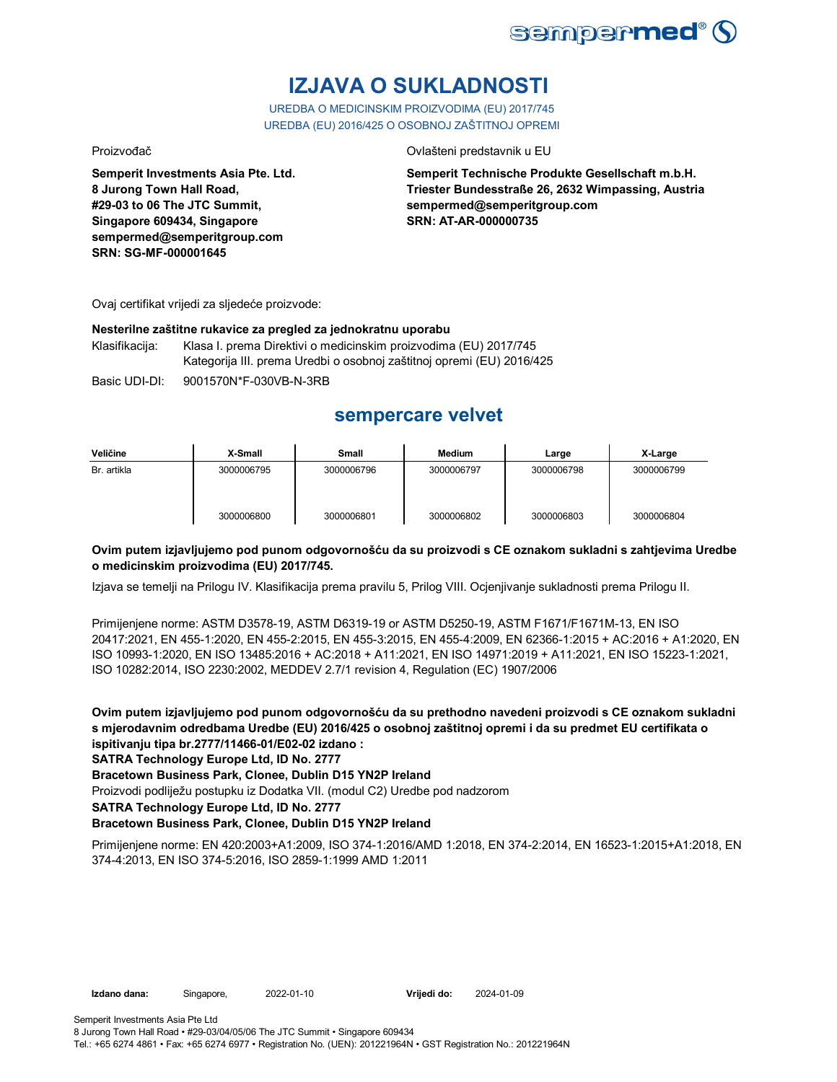

# **IZJAVA O SUKLADNOSTI**

UREDBA O MEDICINSKIM PROIZVODIMA (EU) 2017/745 UREDBA (EU) 2016/425 O OSOBNOJ ZAŠTITNOJ OPREMI

Proizvođač Ovlašteni predstavnik u EU

**Semperit Investments Asia Pte. Ltd. 8 Jurong Town Hall Road, #29-03 to 06 The JTC Summit, Singapore 609434, Singapore sempermed@semperitgroup.com SRN: SG-MF-000001645**

**Semperit Technische Produkte Gesellschaft m.b.H. Triester Bundesstraße 26, 2632 Wimpassing, Austria sempermed@semperitgroup.com SRN: AT-AR-000000735**

Ovaj certifikat vrijedi za sljedeće proizvode:

#### **Nesterilne zaštitne rukavice za pregled za jednokratnu uporabu**

Klasifikacija: Klasa I. prema Direktivi o medicinskim proizvodima (EU) 2017/745 Kategorija III. prema Uredbi o osobnoj zaštitnoj opremi (EU) 2016/425

Basic UDI-DI: 9001570N\*F-030VB-N-3RB

## **sempercare velvet**

| Veličine    | X-Small    | Small      | <b>Medium</b> | Large      | X-Large    |
|-------------|------------|------------|---------------|------------|------------|
| Br. artikla | 3000006795 | 3000006796 | 3000006797    | 3000006798 | 3000006799 |
|             | 3000006800 | 3000006801 | 3000006802    | 3000006803 | 3000006804 |

### **Ovim putem izjavljujemo pod punom odgovornošću da su proizvodi s CE oznakom sukladni s zahtjevima Uredbe o medicinskim proizvodima (EU) 2017/745.**

Izjava se temelji na Prilogu IV. Klasifikacija prema pravilu 5, Prilog VIII. Ocjenjivanje sukladnosti prema Prilogu II.

Primijenjene norme: ASTM D3578-19, ASTM D6319-19 or ASTM D5250-19, ASTM F1671/F1671M-13, EN ISO 20417:2021, EN 455-1:2020, EN 455-2:2015, EN 455-3:2015, EN 455-4:2009, EN 62366-1:2015 + AC:2016 + A1:2020, EN ISO 10993-1:2020, EN ISO 13485:2016 + AC:2018 + A11:2021, EN ISO 14971:2019 + A11:2021, EN ISO 15223-1:2021, ISO 10282:2014, ISO 2230:2002, MEDDEV 2.7/1 revision 4, Regulation (EC) 1907/2006

**Ovim putem izjavljujemo pod punom odgovornošću da su prethodno navedeni proizvodi s CE oznakom sukladni s mjerodavnim odredbama Uredbe (EU) 2016/425 o osobnoj zaštitnoj opremi i da su predmet EU certifikata o ispitivanju tipa br.2777/11466-01/E02-02 izdano :**

**SATRA Technology Europe Ltd, ID No. 2777**

**Bracetown Business Park, Clonee, Dublin D15 YN2P Ireland**

Proizvodi podliježu postupku iz Dodatka VII. (modul C2) Uredbe pod nadzorom

**SATRA Technology Europe Ltd, ID No. 2777**

### **Bracetown Business Park, Clonee, Dublin D15 YN2P Ireland**

Primijenjene norme: EN 420:2003+A1:2009, ISO 374-1:2016/AMD 1:2018, EN 374-2:2014, EN 16523-1:2015+A1:2018, EN 374-4:2013, EN ISO 374-5:2016, ISO 2859-1:1999 AMD 1:2011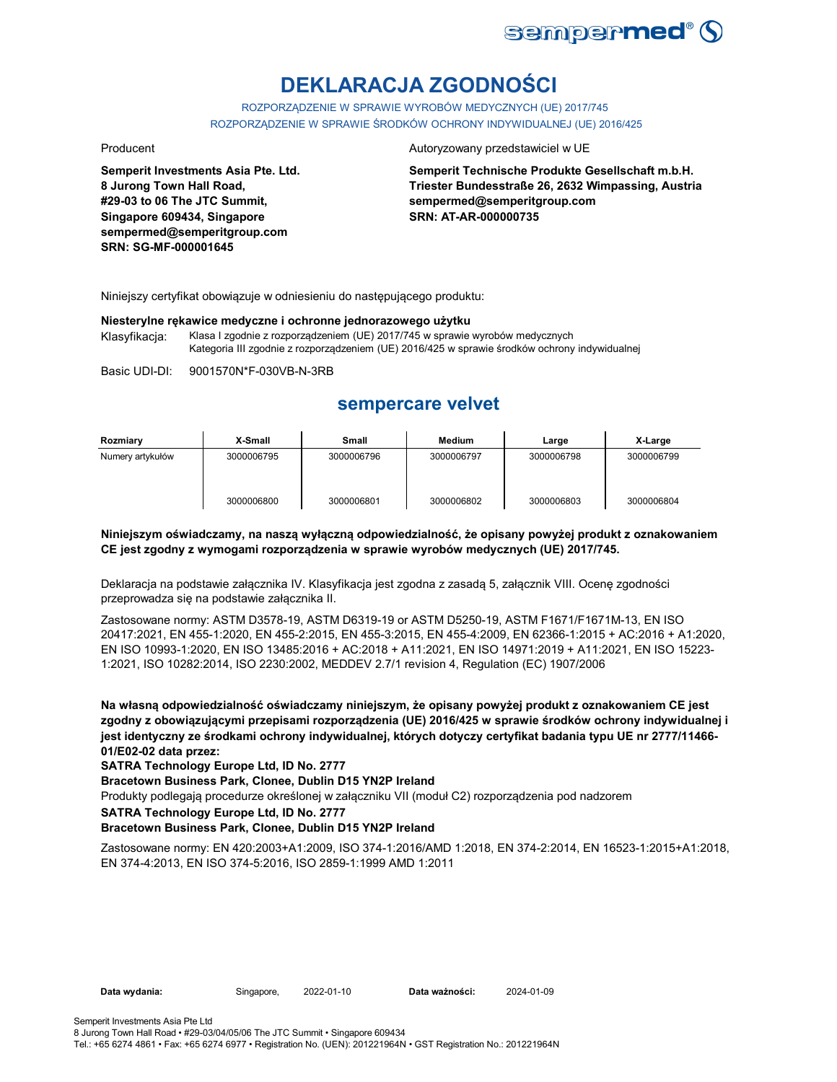

# **DEKLARACJA ZGODNOŚCI**

ROZPORZĄDZENIE W SPRAWIE WYROBÓW MEDYCZNYCH (UE) 2017/745 ROZPORZĄDZENIE W SPRAWIE ŚRODKÓW OCHRONY INDYWIDUALNEJ (UE) 2016/425

**Semperit Investments Asia Pte. Ltd. 8 Jurong Town Hall Road, #29-03 to 06 The JTC Summit, Singapore 609434, Singapore sempermed@semperitgroup.com SRN: SG-MF-000001645**

#### Producent **Autoryzowany przedstawiciel w UE**

**Semperit Technische Produkte Gesellschaft m.b.H. Triester Bundesstraße 26, 2632 Wimpassing, Austria sempermed@semperitgroup.com SRN: AT-AR-000000735**

Niniejszy certyfikat obowiązuje w odniesieniu do następującego produktu:

#### **Niesterylne rękawice medyczne i ochronne jednorazowego użytku**

Klasyfikacja: Klasa I zgodnie z rozporządzeniem (UE) 2017/745 w sprawie wyrobów medycznych Kategoria III zgodnie z rozporządzeniem (UE) 2016/425 w sprawie środków ochrony indywidualnej

Basic UDI-DI: 9001570N\*F-030VB-N-3RB

## **sempercare velvet**

| Rozmiary         | X-Small    | Small      | Medium     | Large      | X-Large    |
|------------------|------------|------------|------------|------------|------------|
| Numery artykułów | 3000006795 | 3000006796 | 3000006797 | 3000006798 | 3000006799 |
|                  | 3000006800 | 3000006801 | 3000006802 | 3000006803 | 3000006804 |

#### **Niniejszym oświadczamy, na naszą wyłączną odpowiedzialność, że opisany powyżej produkt z oznakowaniem CE jest zgodny z wymogami rozporządzenia w sprawie wyrobów medycznych (UE) 2017/745.**

Deklaracja na podstawie załącznika IV. Klasyfikacja jest zgodna z zasadą 5, załącznik VIII. Ocenę zgodności przeprowadza się na podstawie załącznika II.

Zastosowane normy: ASTM D3578-19, ASTM D6319-19 or ASTM D5250-19, ASTM F1671/F1671M-13, EN ISO 20417:2021, EN 455-1:2020, EN 455-2:2015, EN 455-3:2015, EN 455-4:2009, EN 62366-1:2015 + AC:2016 + A1:2020, EN ISO 10993-1:2020, EN ISO 13485:2016 + AC:2018 + A11:2021, EN ISO 14971:2019 + A11:2021, EN ISO 15223- 1:2021, ISO 10282:2014, ISO 2230:2002, MEDDEV 2.7/1 revision 4, Regulation (EC) 1907/2006

**Na własną odpowiedzialność oświadczamy niniejszym, że opisany powyżej produkt z oznakowaniem CE jest zgodny z obowiązującymi przepisami rozporządzenia (UE) 2016/425 w sprawie środków ochrony indywidualnej i jest identyczny ze środkami ochrony indywidualnej, których dotyczy certyfikat badania typu UE nr 2777/11466- 01/E02-02 data przez:**

**SATRA Technology Europe Ltd, ID No. 2777**

**Bracetown Business Park, Clonee, Dublin D15 YN2P Ireland**

Produkty podlegają procedurze określonej w załączniku VII (moduł C2) rozporządzenia pod nadzorem

**SATRA Technology Europe Ltd, ID No. 2777**

#### **Bracetown Business Park, Clonee, Dublin D15 YN2P Ireland**

Zastosowane normy: EN 420:2003+A1:2009, ISO 374-1:2016/AMD 1:2018, EN 374-2:2014, EN 16523-1:2015+A1:2018, EN 374-4:2013, EN ISO 374-5:2016, ISO 2859-1:1999 AMD 1:2011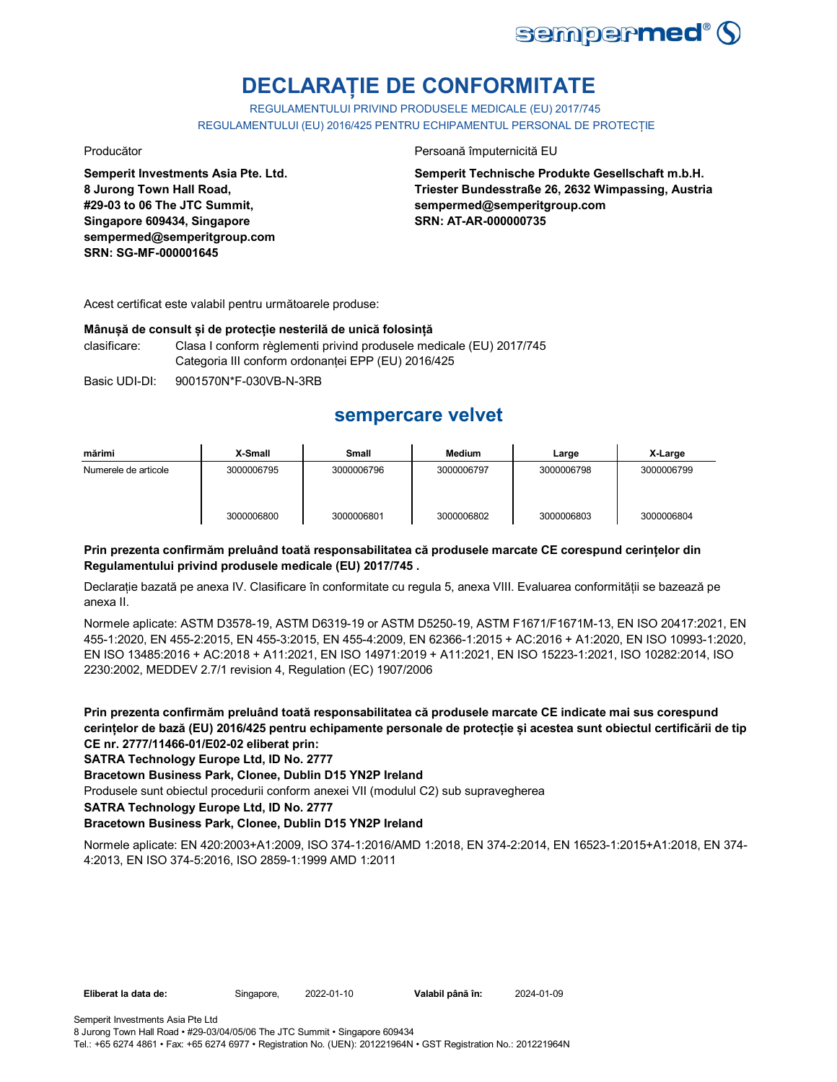

# **DECLARAȚIE DE CONFORMITATE**

REGULAMENTULUI PRIVIND PRODUSELE MEDICALE (EU) 2017/745 REGULAMENTULUI (EU) 2016/425 PENTRU ECHIPAMENTUL PERSONAL DE PROTECȚIE

**Semperit Investments Asia Pte. Ltd. 8 Jurong Town Hall Road, #29-03 to 06 The JTC Summit, Singapore 609434, Singapore sempermed@semperitgroup.com SRN: SG-MF-000001645**

Producător **Producător** Persoană împuternicită EU

**Semperit Technische Produkte Gesellschaft m.b.H. Triester Bundesstraße 26, 2632 Wimpassing, Austria sempermed@semperitgroup.com SRN: AT-AR-000000735**

Acest certificat este valabil pentru următoarele produse:

### **Mânușă de consult și de protecție nesterilă de unică folosință**

clasificare: Clasa I conform règlementi privind produsele medicale (EU) 2017/745 Categoria III conform ordonanței EPP (EU) 2016/425

Basic UDI-DI: 9001570N\*F-030VB-N-3RB

## **sempercare velvet**

| mărimi               | X-Small    | <b>Small</b> | <b>Medium</b> | Large      | X-Large    |
|----------------------|------------|--------------|---------------|------------|------------|
| Numerele de articole | 3000006795 | 3000006796   | 3000006797    | 3000006798 | 3000006799 |
|                      | 3000006800 | 3000006801   | 3000006802    | 3000006803 | 3000006804 |

### **Prin prezenta confirmăm preluând toată responsabilitatea că produsele marcate CE corespund cerințelor din Regulamentului privind produsele medicale (EU) 2017/745 .**

Declarație bazată pe anexa IV. Clasificare în conformitate cu regula 5, anexa VIII. Evaluarea conformității se bazează pe anexa II.

Normele aplicate: ASTM D3578-19, ASTM D6319-19 or ASTM D5250-19, ASTM F1671/F1671M-13, EN ISO 20417:2021, EN 455-1:2020, EN 455-2:2015, EN 455-3:2015, EN 455-4:2009, EN 62366-1:2015 + AC:2016 + A1:2020, EN ISO 10993-1:2020, EN ISO 13485:2016 + AC:2018 + A11:2021, EN ISO 14971:2019 + A11:2021, EN ISO 15223-1:2021, ISO 10282:2014, ISO 2230:2002, MEDDEV 2.7/1 revision 4, Regulation (EC) 1907/2006

**Prin prezenta confirmăm preluând toată responsabilitatea că produsele marcate CE indicate mai sus corespund cerințelor de bază (EU) 2016/425 pentru echipamente personale de protecție și acestea sunt obiectul certificării de tip CE nr. 2777/11466-01/E02-02 eliberat prin:**

**SATRA Technology Europe Ltd, ID No. 2777**

**Bracetown Business Park, Clonee, Dublin D15 YN2P Ireland**

Produsele sunt obiectul procedurii conform anexei VII (modulul C2) sub supravegherea

**SATRA Technology Europe Ltd, ID No. 2777**

### **Bracetown Business Park, Clonee, Dublin D15 YN2P Ireland**

Normele aplicate: EN 420:2003+A1:2009, ISO 374-1:2016/AMD 1:2018, EN 374-2:2014, EN 16523-1:2015+A1:2018, EN 374- 4:2013, EN ISO 374-5:2016, ISO 2859-1:1999 AMD 1:2011

**Eliberat la data de:** Singapore, 2022-01-10 **Valabil până în:** 2024-01-09

Tel.: +65 6274 4861 • Fax: +65 6274 6977 • Registration No. (UEN): 201221964N • GST Registration No.: 201221964N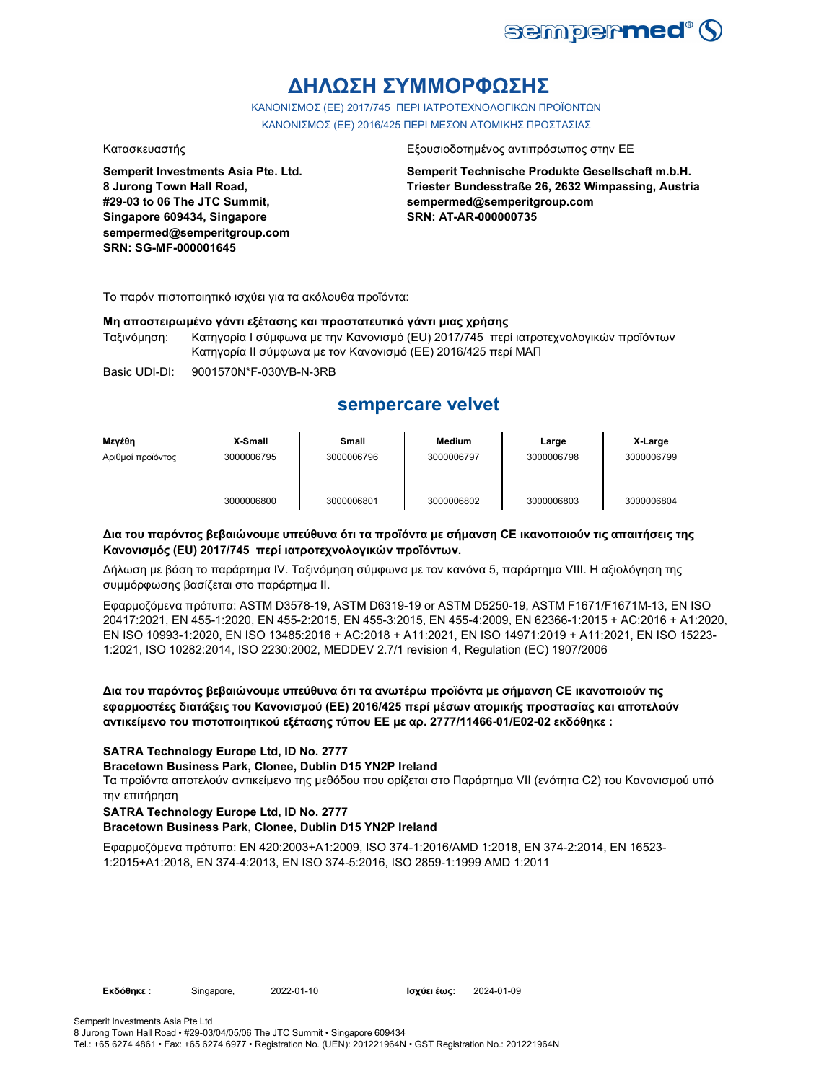

# **ΔΗΛΩΣΗ ΣΥΜΜΟΡΦΩΣΗΣ**

ΚΑΝΟΝΙΣΜΟΣ (EE) 2017/745 ΠΕΡΙ ΙΑΤΡΟΤΕΧΝΟΛΟΓΙΚΩΝ ΠΡΟΪΟΝΤΩΝ ΚΑΝΟΝΙΣΜΟΣ (ΕΕ) 2016/425 ΠΕΡΙ ΜΕΣΩΝ ΑΤΟΜΙΚΗΣ ΠΡΟΣΤΑΣΙΑΣ

**Semperit Investments Asia Pte. Ltd. 8 Jurong Town Hall Road, #29-03 to 06 The JTC Summit, Singapore 609434, Singapore sempermed@semperitgroup.com SRN: SG-MF-000001645**

#### Κατασκευαστής Εξουσιοδοτημένος αντιπρόσωπος στην ΕΕ

**Semperit Technische Produkte Gesellschaft m.b.H. Triester Bundesstraße 26, 2632 Wimpassing, Austria sempermed@semperitgroup.com SRN: AT-AR-000000735**

Το παρόν πιστοποιητικό ισχύει για τα ακόλουθα προϊόντα:

#### **Μη αποστειρωμένο γάντι εξέτασης και προστατευτικό γάντι μιας χρήσης**

Ταξινόμηση: Κατηγορία I σύμφωνα με την Κανονισμό (EU) 2017/745 περί ιατροτεχνολογικών προϊόντων Κατηγορία II σύμφωνα με τον Κανονισμό (ΕΕ) 2016/425 περί ΜΑΠ

Basic UDI-DI: 9001570N\*F-030VB-N-3RB

## **sempercare velvet**

| Μενέθη            | X-Small    | Small      | <b>Medium</b> | Large      | X-Large    |
|-------------------|------------|------------|---------------|------------|------------|
| Αριθμοί προϊόντος | 3000006795 | 3000006796 | 3000006797    | 3000006798 | 3000006799 |
|                   | 3000006800 | 3000006801 | 3000006802    | 3000006803 | 3000006804 |

#### **Δια του παρόντος βεβαιώνουμε υπεύθυνα ότι τα προϊόντα με σήμανση CE ικανοποιούν τις απαιτήσεις της Κανονισμός (EU) 2017/745 περί ιατροτεχνολογικών προϊόντων.**

Δήλωση με βάση το παράρτημα IV. Ταξινόμηση σύμφωνα με τον κανόνα 5, παράρτημα VIII. Η αξιολόγηση της συμμόρφωσης βασίζεται στο παράρτημα II.

Εφαρμοζόμενα πρότυπα: ASTM D3578-19, ASTM D6319-19 or ASTM D5250-19, ASTM F1671/F1671M-13, EN ISO 20417:2021, EN 455-1:2020, EN 455-2:2015, EN 455-3:2015, EN 455-4:2009, EN 62366-1:2015 + AC:2016 + A1:2020, EN ISO 10993-1:2020, EN ISO 13485:2016 + AC:2018 + A11:2021, EN ISO 14971:2019 + A11:2021, EN ISO 15223- 1:2021, ISO 10282:2014, ISO 2230:2002, MEDDEV 2.7/1 revision 4, Regulation (EC) 1907/2006

**Δια του παρόντος βεβαιώνουμε υπεύθυνα ότι τα ανωτέρω προϊόντα με σήμανση CE ικανοποιούν τις εφαρμοστέες διατάξεις του Κανονισμού (ΕΕ) 2016/425 περί μέσων ατομικής προστασίας και αποτελούν αντικείμενο του πιστοποιητικού εξέτασης τύπου ΕΕ με αρ. 2777/11466-01/E02-02 εκδόθηκε :**

### **SATRA Technology Europe Ltd, ID No. 2777**

#### **Bracetown Business Park, Clonee, Dublin D15 YN2P Ireland**

Τα προϊόντα αποτελούν αντικείμενο της μεθόδου που ορίζεται στο Παράρτημα VII (ενότητα C2) του Κανονισμού υπό την επιτήρηση

#### **SATRA Technology Europe Ltd, ID No. 2777**

#### **Bracetown Business Park, Clonee, Dublin D15 YN2P Ireland**

Εφαρμοζόμενα πρότυπα: EN 420:2003+A1:2009, ISO 374-1:2016/AMD 1:2018, EN 374-2:2014, EN 16523- 1:2015+A1:2018, EN 374-4:2013, EN ISO 374-5:2016, ISO 2859-1:1999 AMD 1:2011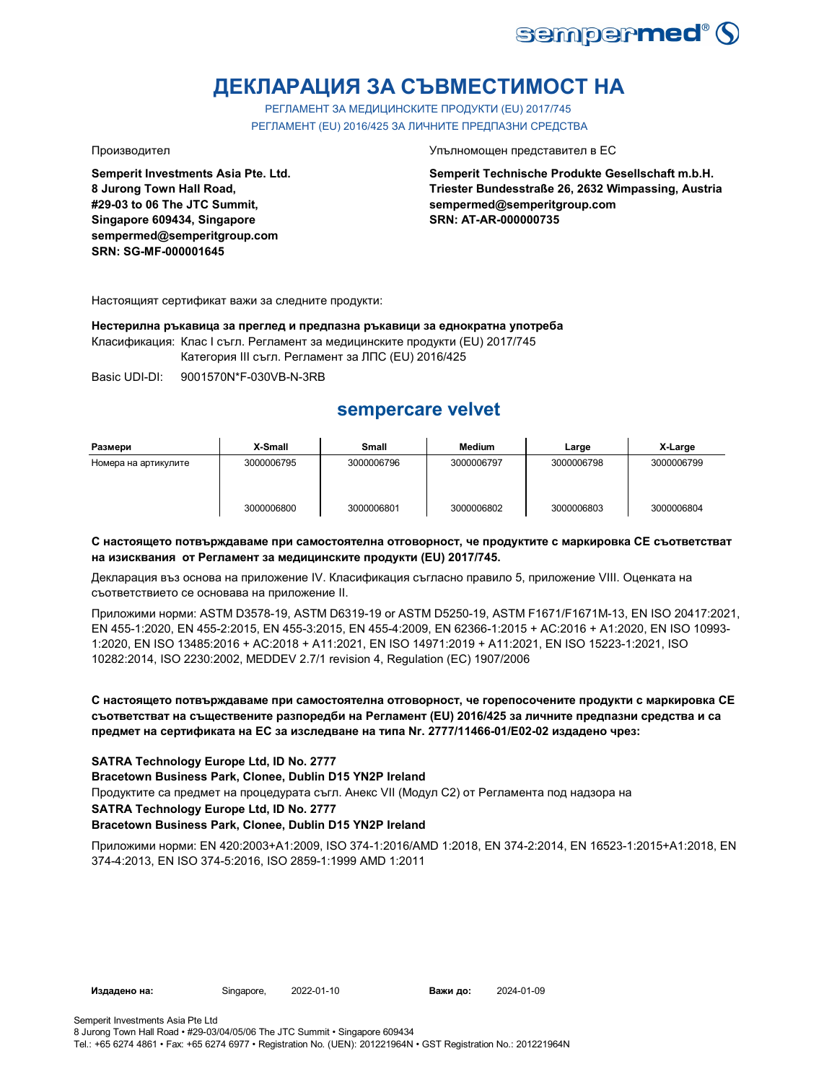

# **ДЕКЛАРАЦИЯ ЗА СЪВМЕСТИМОСТ НА**

РЕГЛАМЕНТ ЗА МЕДИЦИНСКИТЕ ПРОДУКТИ (EU) 2017/745 РЕГЛАМЕНТ (EU) 2016/425 ЗА ЛИЧНИТЕ ПРЕДПАЗНИ СРЕДСТВА

**Semperit Investments Asia Pte. Ltd. 8 Jurong Town Hall Road, #29-03 to 06 The JTC Summit, Singapore 609434, Singapore sempermed@semperitgroup.com SRN: SG-MF-000001645**

Производител Упълномощен представител в ЕС

**Semperit Technische Produkte Gesellschaft m.b.H. Triester Bundesstraße 26, 2632 Wimpassing, Austria sempermed@semperitgroup.com SRN: AT-AR-000000735**

Настоящият сертификат важи за следните продукти:

**Нестерилна ръкавица за преглед и предпазна ръкавици за еднократна употреба**

Класификация: Клас I съгл. Регламент за медицинските продукти (EU) 2017/745 Категория III съгл. Регламент за ЛПС (EU) 2016/425

Basic UDI-DI: 9001570N\*F-030VB-N-3RB

## **sempercare velvet**

| Размери              | X-Small    | <b>Small</b> | <b>Medium</b> | Large      | X-Large    |
|----------------------|------------|--------------|---------------|------------|------------|
| Номера на артикулите | 3000006795 | 3000006796   | 3000006797    | 3000006798 | 3000006799 |
|                      | 3000006800 | 3000006801   | 3000006802    | 3000006803 | 3000006804 |

#### **С настоящето потвърждаваме при самостоятелна отговорност, че продуктите с маркировка СЕ съответстват на изисквания от Регламент за медицинските продукти (EU) 2017/745.**

Декларация въз основа на приложение IV. Класификация съгласно правило 5, приложение VIII. Оценката на съответствието се основава на приложение II.

Приложими норми: ASTM D3578-19, ASTM D6319-19 or ASTM D5250-19, ASTM F1671/F1671M-13, EN ISO 20417:2021, EN 455-1:2020, EN 455-2:2015, EN 455-3:2015, EN 455-4:2009, EN 62366-1:2015 + AC:2016 + A1:2020, EN ISO 10993- 1:2020, EN ISO 13485:2016 + AC:2018 + A11:2021, EN ISO 14971:2019 + A11:2021, EN ISO 15223-1:2021, ISO 10282:2014, ISO 2230:2002, MEDDEV 2.7/1 revision 4, Regulation (EC) 1907/2006

### **С настоящето потвърждаваме при самостоятелна отговорност, че горепосочените продукти с маркировка СЕ съответстват на съществените разпоредби на Регламент (EU) 2016/425 за личните предпазни средства и са предмет на сертификата на ЕС за изследване на типа Nr. 2777/11466-01/E02-02 издадено чрез:**

#### **SATRA Technology Europe Ltd, ID No. 2777**

**Bracetown Business Park, Clonee, Dublin D15 YN2P Ireland**

Продуктите са предмет на процедурата съгл. Анекс VII (Модул С2) от Регламента под надзора на

### **SATRA Technology Europe Ltd, ID No. 2777**

#### **Bracetown Business Park, Clonee, Dublin D15 YN2P Ireland**

Приложими норми: EN 420:2003+A1:2009, ISO 374-1:2016/AMD 1:2018, EN 374-2:2014, EN 16523-1:2015+A1:2018, EN 374-4:2013, EN ISO 374-5:2016, ISO 2859-1:1999 AMD 1:2011

**Издадено на:** Singapore, 2022-01-10 **Важи до:** 2024-01-09